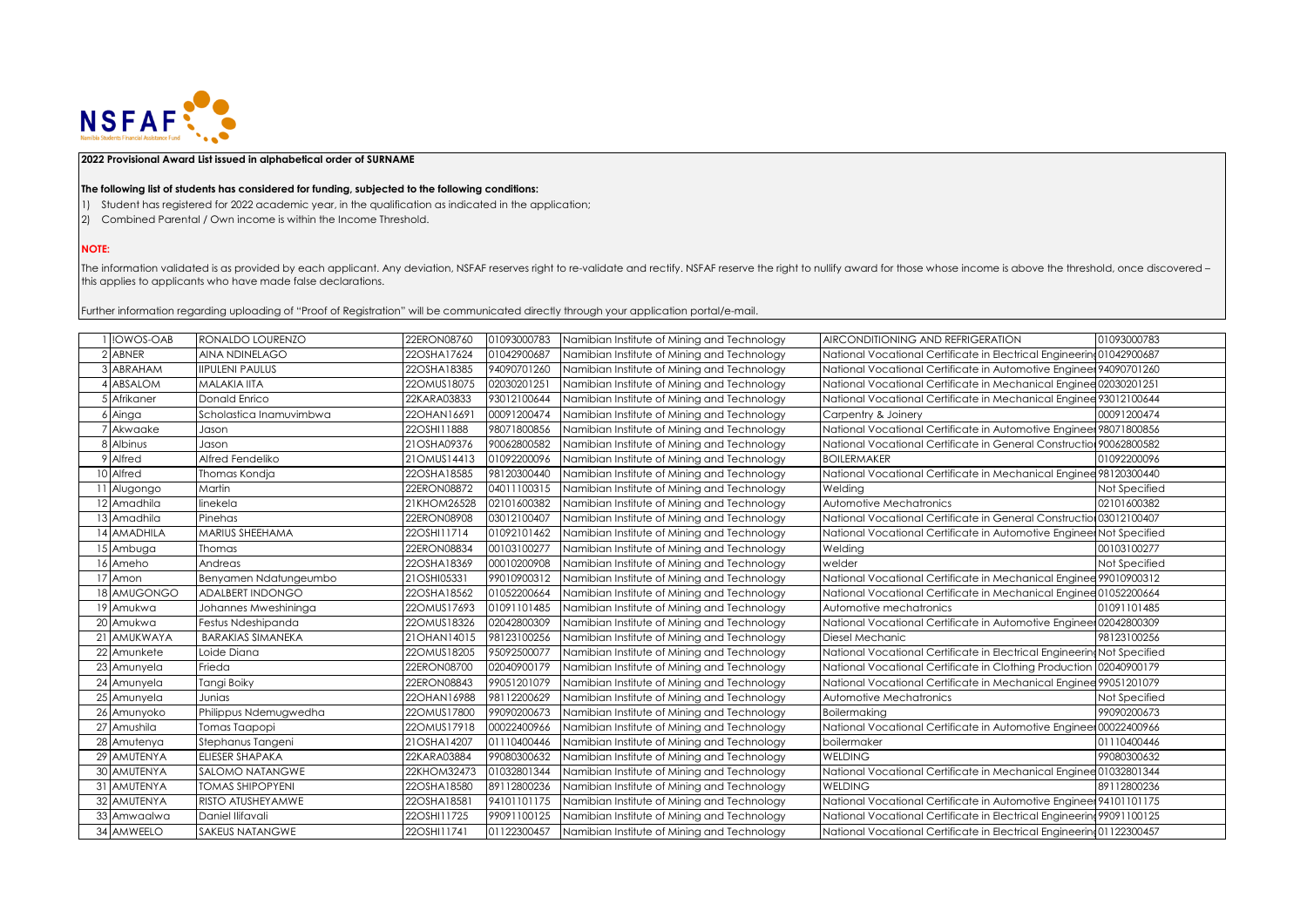

## **2022 Provisional Award List issued in alphabetical order of SURNAME**

## **The following list of students has considered for funding, subjected to the following conditions:**

- 1) Student has registered for 2022 academic year, in the qualification as indicated in the application;
- 2) Combined Parental / Own income is within the Income Threshold.

## **NOTE:**

The information validated is as provided by each applicant. Any deviation, NSFAF reserves right to re-validate and rectify. NSFAF reserve the right to nullify award for those whose income is above the threshold, once disco this applies to applicants who have made false declarations.

Further information regarding uploading of "Proof of Registration" will be communicated directly through your application portal/e-mail.

| !OWOS-OAB   | RONALDO LOURENZO         | 22ERON08760 | 01093000783 | Namibian Institute of Mining and Technology | AIRCONDITIONING AND REFRIGERATION                                       | 01093000783   |
|-------------|--------------------------|-------------|-------------|---------------------------------------------|-------------------------------------------------------------------------|---------------|
| 2 ABNER     | AINA NDINELAGO           | 22OSHA17624 | 01042900687 | Namibian Institute of Mining and Technology | National Vocational Certificate in Electrical Engineering01042900687    |               |
| 3 ABRAHAM   | <b>IIPULENI PAULUS</b>   | 22OSHA18385 | 94090701260 | Namibian Institute of Mining and Technology | National Vocational Certificate in Automotive Engineer 94090701260      |               |
| ABSALOM     | <b>MALAKIA IITA</b>      | 22OMUS18075 | 02030201251 | Namibian Institute of Mining and Technology | National Vocational Certificate in Mechanical Enginee 02030201251       |               |
| 5 Afrikaner | Donald Enrico            | 22KARA03833 | 93012100644 | Namibian Institute of Mining and Technology | National Vocational Certificate in Mechanical Enginee 93012100644       |               |
| $6$ Ainga   | Scholastica Inamuvimbwa  | 22OHAN16691 | 00091200474 | Namibian Institute of Mining and Technology | Carpentry & Joinery                                                     | 00091200474   |
| Akwaake     | Jason                    | 22OSHI11888 | 98071800856 | Namibian Institute of Mining and Technology | National Vocational Certificate in Automotive Engineer 98071800856      |               |
| 8 Albinus   | Jason                    | 21OSHA09376 | 90062800582 | Namibian Institute of Mining and Technology | National Vocational Certificate in General Construction 90062800582     |               |
| 9 Alfred    | Alfred Fendeliko         | 21OMUS14413 | 01092200096 | Namibian Institute of Mining and Technology | <b>BOILERMAKER</b>                                                      | 01092200096   |
| 10 Alfred   | Thomas Kondja            | 22OSHA18585 | 98120300440 | Namibian Institute of Mining and Technology | National Vocational Certificate in Mechanical Enginee 98120300440       |               |
| 1 Alugongo  | Martin                   | 22ERON08872 | 04011100315 | Namibian Institute of Mining and Technology | Welding                                                                 | Not Specified |
| 12 Amadhila | linekela                 | 21KHOM26528 | 02101600382 | Namibian Institute of Mining and Technology | Automotive Mechatronics                                                 | 02101600382   |
| 13 Amadhila | Pinehas                  | 22ERON08908 | 03012100407 | Namibian Institute of Mining and Technology | National Vocational Certificate in General Construction 03012100407     |               |
| 14 AMADHILA | <b>MARIUS SHEEHAMA</b>   | 22OSHI11714 | 01092101462 | Namibian Institute of Mining and Technology | National Vocational Certificate in Automotive Engineer Not Specified    |               |
| 15 Ambuga   | Thomas                   | 22ERON08834 | 00103100277 | Namibian Institute of Mining and Technology | Welding                                                                 | 00103100277   |
| 16 Ameho    | Andreas                  | 22OSHA18369 | 00010200908 | Namibian Institute of Mining and Technology | welder                                                                  | Not Specified |
| 17 Amon     | Benyamen Ndatungeumbo    | 21OSHI05331 | 99010900312 | Namibian Institute of Mining and Technology | National Vocational Certificate in Mechanical Enginee 99010900312       |               |
| 18 AMUGONGO | ADALBERT INDONGO         | 22OSHA18562 | 01052200664 | Namibian Institute of Mining and Technology | National Vocational Certificate in Mechanical Enginee 01052200664       |               |
| 19 Amukwa   | Johannes Mweshininga     | 22OMUS17693 | 01091101485 | Namibian Institute of Mining and Technology | Automotive mechatronics                                                 | 01091101485   |
| 20 Amukwa   | Festus Ndeshipanda       | 22OMUS18326 | 02042800309 | Namibian Institute of Mining and Technology | National Vocational Certificate in Automotive Engineer 02042800309      |               |
| 21 AMUKWAYA | <b>BARAKIAS SIMANEKA</b> | 21OHAN14015 | 98123100256 | Namibian Institute of Mining and Technology | Diesel Mechanic                                                         | 98123100256   |
| 22 Amunkete | Loide Diana              | 22OMUS18205 | 9509250007  | Namibian Institute of Mining and Technology | National Vocational Certificate in Electrical Engineering Not Specified |               |
| 23 Amunyela | Frieda                   | 22ERON08700 | 02040900179 | Namibian Institute of Mining and Technology | National Vocational Certificate in Clothing Production 02040900179      |               |
| 24 Amunyela | Tangi Boiky              | 22ERON08843 | 99051201079 | Namibian Institute of Mining and Technology | National Vocational Certificate in Mechanical Enginee 99051201079       |               |
| 25 Amunyela | Junias                   | 22OHAN16988 | 98112200629 | Namibian Institute of Mining and Technology | Automotive Mechatronics                                                 | Not Specified |
| 26 Amunyoko | Philippus Ndemugwedha    | 22OMUS17800 | 99090200673 | Namibian Institute of Mining and Technology | Boilermakina                                                            | 99090200673   |
| 27 Amushila | Tomas Taapopi            | 22OMUS17918 | 00022400966 | Namibian Institute of Mining and Technology | National Vocational Certificate in Automotive Engineer 00022400966      |               |
| 28 Amutenya | Stephanus Tangeni        | 21OSHA14207 | 01110400446 | Namibian Institute of Mining and Technology | boilermaker                                                             | 01110400446   |
| 29 AMUTENYA | <b>ELIESER SHAPAKA</b>   | 22KARA03884 | 99080300632 | Namibian Institute of Mining and Technology | <b>WELDING</b>                                                          | 99080300632   |
| 30 AMUTENYA | <b>SALOMO NATANGWE</b>   | 22KHOM32473 | 01032801344 | Namibian Institute of Mining and Technology | National Vocational Certificate in Mechanical Enginee 01032801344       |               |
| 31 AMUTENYA | <b>TOMAS SHIPOPYENI</b>  | 22OSHA18580 | 89112800236 | Namibian Institute of Mining and Technology | <b>WELDING</b>                                                          | 89112800236   |
| 32 AMUTENYA | RISTO ATUSHEY AMWE       | 22OSHA18581 | 94101101175 | Namibian Institute of Mining and Technology | National Vocational Certificate in Automotive Engineer 94101101175      |               |
| 33 Amwaalwa | Daniel Ilifavali         | 22OSHI11725 | 99091100125 | Namibian Institute of Mining and Technology | National Vocational Certificate in Electrical Engineering 99091100125   |               |
| 34 AMWEELO  | <b>SAKEUS NATANGWE</b>   | 22OSHI11741 | 01122300457 | Namibian Institute of Mining and Technology | National Vocational Certificate in Electrical Engineering 01122300457   |               |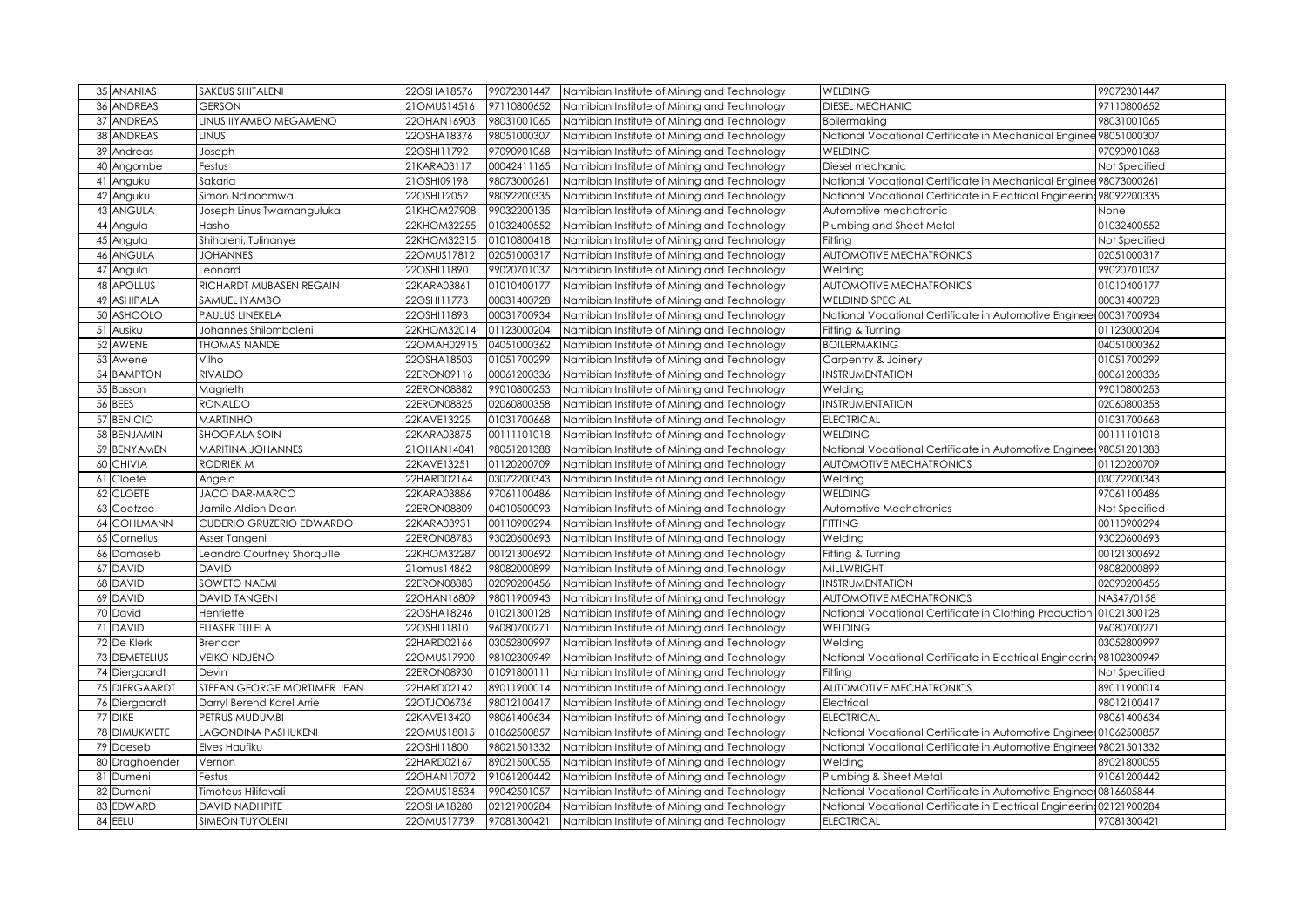| 35 ANANIAS            | <b>SAKEUS SHITALENI</b>     | 22OSHA18576 | 99072301447 | Namibian Institute of Mining and Technology | <b>WELDING</b>                                                        | 99072301447   |
|-----------------------|-----------------------------|-------------|-------------|---------------------------------------------|-----------------------------------------------------------------------|---------------|
| 36 ANDREAS            | <b>GERSON</b>               | 21OMUS14516 | 97110800652 | Namibian Institute of Mining and Technology | <b>DIESEL MECHANIC</b>                                                | 97110800652   |
| 37 ANDREAS            | LINUS IIYAMBO MEGAMENO      | 22OHAN16903 | 98031001065 | Namibian Institute of Mining and Technology | Boilermaking                                                          | 98031001065   |
| 38 ANDREAS            | <b>LINUS</b>                | 22OSHA18376 | 98051000307 | Namibian Institute of Mining and Technology | National Vocational Certificate in Mechanical Enginee 98051000307     |               |
| 39<br>Andreas         | Joseph                      | 22OSHI11792 | 97090901068 | Namibian Institute of Mining and Technology | <b>WELDING</b>                                                        | 97090901068   |
| 40<br>Angombe         | Festus                      | 21KARA03117 | 00042411165 | Namibian Institute of Mining and Technology | Diesel mechanic                                                       | Not Specified |
| 41<br>Anguku          | Sakaria                     | 21OSHI09198 | 98073000261 | Namibian Institute of Mining and Technology | National Vocational Certificate in Mechanical Enginee 98073000261     |               |
| 42<br>Anguku          | Simon Ndinoomwa             | 22OSHI12052 | 98092200335 | Namibian Institute of Mining and Technology | National Vocational Certificate in Electrical Engineering             | 98092200335   |
| 43 ANGULA             | Joseph Linus Twamanguluka   | 21KHOM27908 | 99032200135 | Namibian Institute of Mining and Technology | Automotive mechatronic                                                | None          |
| 44 Angula             | Hasho                       | 22KHOM32255 | 01032400552 | Namibian Institute of Mining and Technology | Plumbing and Sheet Metal                                              | 01032400552   |
| 45 Angula             | Shihaleni, Tulinanye        | 22KHOM32315 | 01010800418 | Namibian Institute of Mining and Technology | Fitting                                                               | Not Specified |
| 46 ANGULA             | <b>JOHANNES</b>             | 22OMUS17812 | 02051000317 | Namibian Institute of Mining and Technology | AUTOMOTIVE MECHATRONICS                                               | 02051000317   |
| 47<br>Angula          | Leonard                     | 22OSHI11890 | 99020701037 | Namibian Institute of Mining and Technology | Weldina                                                               | 99020701037   |
| 48 APOLLUS            | RICHARDT MUBASEN REGAIN     | 22KARA03861 | 01010400177 | Namibian Institute of Mining and Technology | AUTOMOTIVE MECHATRONICS                                               | 01010400177   |
| <b>ASHIPALA</b><br>49 | SAMUEL IYAMBO               | 22OSHI11773 | 00031400728 | Namibian Institute of Mining and Technology | <b>WELDIND SPECIAL</b>                                                | 00031400728   |
| 50 ASHOOLO            | <b>PAULUS LINEKELA</b>      | 22OSHI11893 | 00031700934 | Namibian Institute of Mining and Technology | National Vocational Certificate in Automotive Engineer 00031700934    |               |
| 51 Ausiku             | Johannes Shilomboleni       | 22KHOM32014 | 01123000204 | Namibian Institute of Mining and Technology | Fitting & Turning                                                     | 01123000204   |
| 52 AWENE              | <b>THOMAS NANDE</b>         | 22OMAH02915 | 04051000362 | Namibian Institute of Mining and Technology | <b>BOILERMAKING</b>                                                   | 04051000362   |
| 53 Awene              | Vilho                       | 22OSHA18503 | 01051700299 | Namibian Institute of Mining and Technology | Carpentry & Joinery                                                   | 01051700299   |
| 54 BAMPTON            | <b>RIVALDO</b>              | 22ERON09116 | 00061200336 | Namibian Institute of Mining and Technology | INSTRUMENTATION                                                       | 00061200336   |
| 55 Basson             | Magrieth                    | 22ERON08882 | 99010800253 | Namibian Institute of Mining and Technology | Welding                                                               | 99010800253   |
| 56 BEES               | <b>RONALDO</b>              | 22ERON08825 | 02060800358 | Namibian Institute of Mining and Technology | INSTRUMENTATION                                                       | 02060800358   |
| 57 BENICIO            | <b>MARTINHO</b>             | 22KAVE13225 | 01031700668 | Namibian Institute of Mining and Technology | <b>ELECTRICAL</b>                                                     | 01031700668   |
| 58 BENJAMIN           | <b>SHOOPALA SOIN</b>        | 22KARA03875 | 00111101018 | Namibian Institute of Mining and Technology | <b>WELDING</b>                                                        | 00111101018   |
| 59 BENYAMEN           | <b>MARITINA JOHANNES</b>    | 21OHAN14041 | 98051201388 | Namibian Institute of Mining and Technology | National Vocational Certificate in Automotive Engineer 98051201388    |               |
| <b>CHIVIA</b><br>60   | <b>RODRIEK M</b>            | 22KAVE13251 | 01120200709 | Namibian Institute of Mining and Technology | <b>AUTOMOTIVE MECHATRONICS</b>                                        | 01120200709   |
| Cloete<br>61          | Angelo                      | 22HARD02164 | 03072200343 | Namibian Institute of Mining and Technology | Welding                                                               | 03072200343   |
| <b>CLOETE</b><br>62   | JACO DAR-MARCO              | 22KARA03886 | 97061100486 | Namibian Institute of Mining and Technology | <b>WELDING</b>                                                        | 97061100486   |
| 63<br>Coetzee         | Jamile Aldion Dean          | 22ERON08809 | 04010500093 | Namibian Institute of Mining and Technology | Automotive Mechatronics                                               | Not Specified |
| 64 COHLMANN           | CUDERIO GRUZERIO EDWARDO    | 22KARA03931 | 00110900294 | Namibian Institute of Mining and Technology | <b>FITTING</b>                                                        | 00110900294   |
| 65<br>Cornelius       | Asser Tangeni               | 22ERON08783 | 93020600693 | Namibian Institute of Mining and Technology | Welding                                                               | 93020600693   |
| 66 Damaseb            | Leandro Courtney Shorquille | 22KHOM32287 | 00121300692 | Namibian Institute of Mining and Technology | Fitting & Turning                                                     | 00121300692   |
| 67 DAVID              | <b>DAVID</b>                | 21omus14862 | 98082000899 | Namibian Institute of Mining and Technology | <b>MILLWRIGHT</b>                                                     | 98082000899   |
| 68 DAVID              | SOWETO NAEMI                | 22ERON08883 | 02090200456 | Namibian Institute of Mining and Technology | INSTRUMENTATION                                                       | 02090200456   |
| 69 DAVID              | <b>DAVID TANGENI</b>        | 22OHAN16809 | 98011900943 | Namibian Institute of Mining and Technology | <b>AUTOMOTIVE MECHATRONICS</b>                                        | NAS47/0158    |
| 70 David              | Henriette                   | 22OSHA18246 | 01021300128 | Namibian Institute of Mining and Technology | National Vocational Certificate in Clothing Production 01021300128    |               |
| 71 DAVID              | ELIASER TULELA              | 22OSHI11810 | 96080700271 | Namibian Institute of Mining and Technology | <b>WELDING</b>                                                        | 96080700271   |
| 72 De Klerk           | <b>Brendon</b>              | 22HARD02166 | 03052800997 | Namibian Institute of Mining and Technology | Welding                                                               | 03052800997   |
| 73 DEMETELIUS         | <b>VEIKO NDJENO</b>         | 22OMUS17900 | 98102300949 | Namibian Institute of Mining and Technology | National Vocational Certificate in Electrical Engineering 98102300949 |               |
| 74 Diergaardt         | Devin                       | 22ERON08930 | 01091800111 | Namibian Institute of Mining and Technology | Fitting                                                               | Not Specified |
| 75 DIERGAARDI         | STEFAN GEORGE MORTIMER JEAN | 22HARD02142 | 89011900014 | Namibian Institute of Mining and Technology | AUTOMOTIVE MECHATRONICS                                               | 89011900014   |
| 76 Diergaardt         | Darryl Berend Karel Arrie   | 22OTJO06736 | 98012100417 | Namibian Institute of Mining and Technology | Electrical                                                            | 98012100417   |
| 77 DIKE               | PETRUS MUDUMBI              | 22KAVE13420 | 98061400634 | Namibian Institute of Mining and Technology | <b>ELECTRICAL</b>                                                     | 98061400634   |
| 78 DIMUKWETE          | LAGONDINA PASHUKENI         | 22OMUS18015 | 01062500857 | Namibian Institute of Mining and Technology | National Vocational Certificate in Automotive Engineer 01062500857    |               |
| 79 Doeseb             | Elves Haufiku               | 22OSHI11800 | 98021501332 | Namibian Institute of Mining and Technology | National Vocational Certificate in Automotive Engineer 98021501332    |               |
| 80 Draghoender        | Vernon                      | 22HARD02167 | 89021500055 | Namibian Institute of Mining and Technology | Welding                                                               | 89021800055   |
| 81 Dumeni             | Festus                      | 22OHAN17072 | 91061200442 | Namibian Institute of Mining and Technology | Plumbing & Sheet Metal                                                | 91061200442   |
| 82 Dumeni             | Timoteus Hilifavali         | 22OMUS18534 | 99042501057 | Namibian Institute of Mining and Technology | National Vocational Certificate in Automotive Engineer 0816605844     |               |
| 83 EDWARD             | <b>DAVID NADHPITE</b>       | 22OSHA18280 | 02121900284 | Namibian Institute of Mining and Technology | National Vocational Certificate in Electrical Engineering02121900284  |               |
| 84 EELU               | <b>SIMEON TUYOLENI</b>      | 22OMUS17739 | 97081300421 | Namibian Institute of Mining and Technology | <b>ELECTRICAL</b>                                                     | 97081300421   |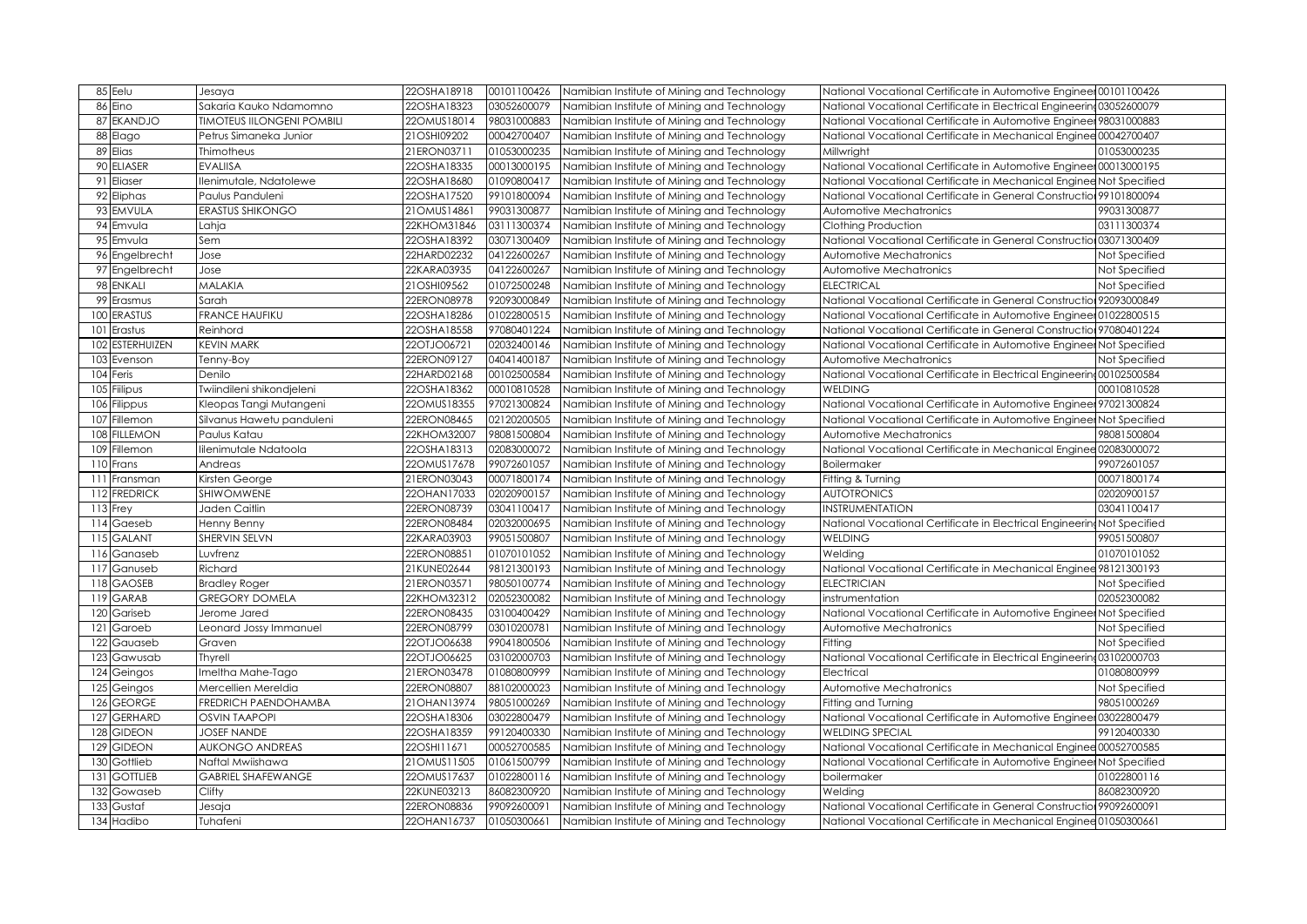| 85 Eelu                   | Jesaya                            | 22OSHA18918   | 00101100426 | Namibian Institute of Mining and Technology | National Vocational Certificate in Automotive Engineer 00101100426      |               |
|---------------------------|-----------------------------------|---------------|-------------|---------------------------------------------|-------------------------------------------------------------------------|---------------|
| 86 Eino                   | Sakaria Kauko Ndamomno            | 22OSHA18323   | 03052600079 | Namibian Institute of Mining and Technology | National Vocational Certificate in Electrical Engineering03052600079    |               |
| 87<br><b>EKANDJO</b>      | <b>TIMOTEUS IILONGENI POMBILI</b> | 22OMUS18014   | 98031000883 | Namibian Institute of Mining and Technology | Vational Vocational Certificate in Automotive Engineer 98031000883      |               |
| 88 Elago                  | Petrus Simaneka Junior            | 21OSHI09202   | 00042700407 | Namibian Institute of Mining and Technology | National Vocational Certificate in Mechanical Enginee 00042700407       |               |
| 89 Elias                  | Thimotheus                        | 21ERON03711   | 01053000235 | Namibian Institute of Mining and Technology | Millwright                                                              | 01053000235   |
| 90 ELIASER                | <b>EVALIISA</b>                   | 22OSHA18335   | 00013000195 | Namibian Institute of Mining and Technology | National Vocational Certificate in Automotive Engineer 00013000195      |               |
| 91<br>Eliaser             | llenimutale, Ndatolewe            | 22OSHA18680   | 01090800417 | Namibian Institute of Mining and Technology | National Vocational Certificate in Mechanical Enginee Not Specified     |               |
| 92 Eliphas                | Paulus Panduleni                  | 22OSHA17520   | 99101800094 | Namibian Institute of Mining and Technology | National Vocational Certificate in General Construction 99101800094     |               |
| 93 EMVULA                 | <b>ERASTUS SHIKONGO</b>           | 21OMUS14861   | 99031300877 | Namibian Institute of Mining and Technology | Automotive Mechatronics                                                 | 99031300877   |
| 94 Emvula                 | Lahja                             | 22KHOM31846   | 03111300374 | Namibian Institute of Mining and Technology | Clothing Production                                                     | 03111300374   |
| 95 Emvula                 | Sem                               | 22OSHA18392   | 03071300409 | Namibian Institute of Mining and Technology | National Vocational Certificate in General Construction 03071300409     |               |
| 96 Engelbrecht            | Jose                              | 22HARD02232   | 04122600267 | Namibian Institute of Mining and Technology | Automotive Mechatronics                                                 | Not Specified |
| 97 Engelbrecht            | Jose                              | 22KARA03935   | 04122600267 | Namibian Institute of Mining and Technology | Automotive Mechatronics                                                 | Not Specified |
| 98 ENKALI                 | <b>MALAKIA</b>                    | 21OSHI09562   | 01072500248 | Namibian Institute of Mining and Technology | <b>ELECTRICAL</b>                                                       | Not Specified |
| 99 Erasmus                | Sarah                             | 22ERON08978   | 92093000849 | Namibian Institute of Mining and Technology | National Vocational Certificate in General Construction 92093000849     |               |
| 100<br><b>ERASTUS</b>     | <b>FRANCE HAUFIKU</b>             | 22OSHA18286   | 01022800515 | Namibian Institute of Mining and Technology | National Vocational Certificate in Automotive Engineer 01022800515      |               |
| Erastus<br>101            | Reinhord                          | 22OSHA18558   | 97080401224 | Namibian Institute of Mining and Technology | National Vocational Certificate in General Construction 97080401224     |               |
| <b>ESTERHUIZEN</b><br>102 | <b>KEVIN MARK</b>                 | 22OTJO06721   | 02032400146 | Namibian Institute of Mining and Technology | National Vocational Certificate in Automotive Engineer Not Specified    |               |
| Evenson<br>103            | Tenny-Boy                         | 22ERON09127   | 04041400187 | Namibian Institute of Mining and Technology | Automotive Mechatronics                                                 | Not Specified |
| 104 Feris                 | Denilo                            | 22HARD02168   | 00102500584 | Namibian Institute of Mining and Technology | National Vocational Certificate in Electrical Engineering 00102500584   |               |
| Fiilipus<br>105           | Twiindileni shikondjeleni         | 22OSHA18362   | 00010810528 | Namibian Institute of Mining and Technology | <b>WELDING</b>                                                          | 00010810528   |
| 106 Filippus              | Kleopas Tangi Mutangeni           | 22OMUS18355   | 97021300824 | Namibian Institute of Mining and Technology | National Vocational Certificate in Automotive Engineer 97021300824      |               |
| 107<br>Fillemon           | Silvanus Hawetu panduleni         | 22ERON08465   | 02120200505 | Namibian Institute of Mining and Technology | National Vocational Certificate in Automotive Engineer Not Specified    |               |
| 108<br><b>FILLEMON</b>    | Paulus Katau                      | 22KHOM32007   | 98081500804 | Namibian Institute of Mining and Technology | Automotive Mechatronics                                                 | 98081500804   |
| Fillemon<br>109           | lilenimutale Ndatoola             | 22OSHA18313   | 02083000072 | Namibian Institute of Mining and Technology | National Vocational Certificate in Mechanical Enginee 02083000072       |               |
| 110 Frans                 | Andreas                           | 22OMUS17678   | 99072601057 | Namibian Institute of Mining and Technology | Boilermaker                                                             | 99072601057   |
| 111<br>Fransman           | Kirsten George                    | 21ERON03043   | 00071800174 | Namibian Institute of Mining and Technology | Fitting & Turning                                                       | 00071800174   |
| 112 FREDRICK              | SHIWOMWENE                        | 22OHAN17033   | 02020900157 | Namibian Institute of Mining and Technology | <b>AUTOTRONICS</b>                                                      | 02020900157   |
| $113$ Frey                | Jaden Caitlin                     | 22ERON08739   | 03041100417 | Namibian Institute of Mining and Technology | <b>NSTRUMENTATION</b>                                                   | 03041100417   |
| 114 Gaeseb                | Henny Benny                       | 22ERON08484   | 02032000695 | Namibian Institute of Mining and Technology | National Vocational Certificate in Electrical Engineering Not Specified |               |
| 115 GALANT                | SHERVIN SELVN                     | 22KARA03903   | 99051500807 | Namibian Institute of Mining and Technology | <b>WELDING</b>                                                          | 99051500807   |
| 116 Ganaseb               | Luvfrenz                          | 22ERON08851   | 01070101052 | Namibian Institute of Mining and Technology | Welding                                                                 | 01070101052   |
| 117 Ganuseb               | Richard                           | 21KUNE02644   | 98121300193 | Namibian Institute of Mining and Technology | National Vocational Certificate in Mechanical Enginee 98121300193       |               |
| 118 GAOSEB                | <b>Bradley Roger</b>              | 21ERON03571   | 98050100774 | Namibian Institute of Mining and Technology | <b>ELECTRICIAN</b>                                                      | Not Specified |
| 119 GARAB                 | <b>GREGORY DOMELA</b>             | 22KHOM32312   | 02052300082 | Namibian Institute of Mining and Technology | instrumentation                                                         | 02052300082   |
| 120 Gariseb               | Jerome Jared                      | 22ERON08435   | 03100400429 | Namibian Institute of Mining and Technology | National Vocational Certificate in Automotive Engineer Not Specified    |               |
| 121<br>Garoeb             | Leonard Jossy Immanuel            | 22ERON08799   | 03010200781 | Namibian Institute of Mining and Technology | Automotive Mechatronics                                                 | Not Specified |
| 122 Gauaseb               | Graven                            | 22OTJO06638   | 99041800506 | Namibian Institute of Mining and Technology | Fitting                                                                 | Not Specified |
| 123 Gawusab               | <b>Thyrell</b>                    | 22OTJO06625   | 03102000703 | Namibian Institute of Mining and Technology | National Vocational Certificate in Electrical Engineering 03102000703   |               |
| $\overline{124}$ Geingos  | Imeltha Mahe-Tago                 | 21ERON03478   | 01080800999 | Namibian Institute of Mining and Technology | Electrical                                                              | 01080800999   |
| $125$ Geingos             | Mercellien Mereldia               | 22ERON08807   | 88102000023 | Namibian Institute of Mining and Technology | Automotive Mechatronics                                                 | Not Specified |
| 126 GEORGE                | FREDRICH PAENDOHAMBA              | 21 OHAN 13974 | 98051000269 | Namibian Institute of Mining and Technology | Fitting and Turning                                                     | 98051000269   |
| 127<br><b>GERHARD</b>     | <b>OSVIN TAAPOPI</b>              | 22OSHA18306   | 03022800479 | Namibian Institute of Mining and Technology | National Vocational Certificate in Automotive Engineer 03022800479      |               |
| 128 GIDEON                | <b>JOSEF NANDE</b>                | 22OSHA18359   | 99120400330 | Namibian Institute of Mining and Technology | <b>WELDING SPECIAL</b>                                                  | 99120400330   |
| 129 GIDEON                | <b>AUKONGO ANDREAS</b>            | 22OSHI11671   | 00052700585 | Namibian Institute of Mining and Technology | National Vocational Certificate in Mechanical Enginee 00052700585       |               |
| 130 Gottlieb              | Naftal Mwiishawa                  | 21OMUS11505   | 01061500799 | Namibian Institute of Mining and Technology | National Vocational Certificate in Automotive Engineer Not Specified    |               |
| <b>GOTTLIEB</b><br>131    | <b>GABRIEL SHAFEWANGE</b>         | 22OMUS17637   | 01022800116 | Namibian Institute of Mining and Technology | boilermaker                                                             | 01022800116   |
| Gowaseb<br>132            | Clifty                            | 22KUNE03213   | 86082300920 | Namibian Institute of Mining and Technology | Welding                                                                 | 86082300920   |
| 133 Gustaf                | Jesaja                            | 22ERON08836   | 99092600091 | Namibian Institute of Mining and Technology | National Vocational Certificate in General Construction 99092600091     |               |
| 134 Hadibo                | Tuhafeni                          | 22OHAN16737   | 01050300661 | Namibian Institute of Mining and Technology | National Vocational Certificate in Mechanical Enginee 01050300661       |               |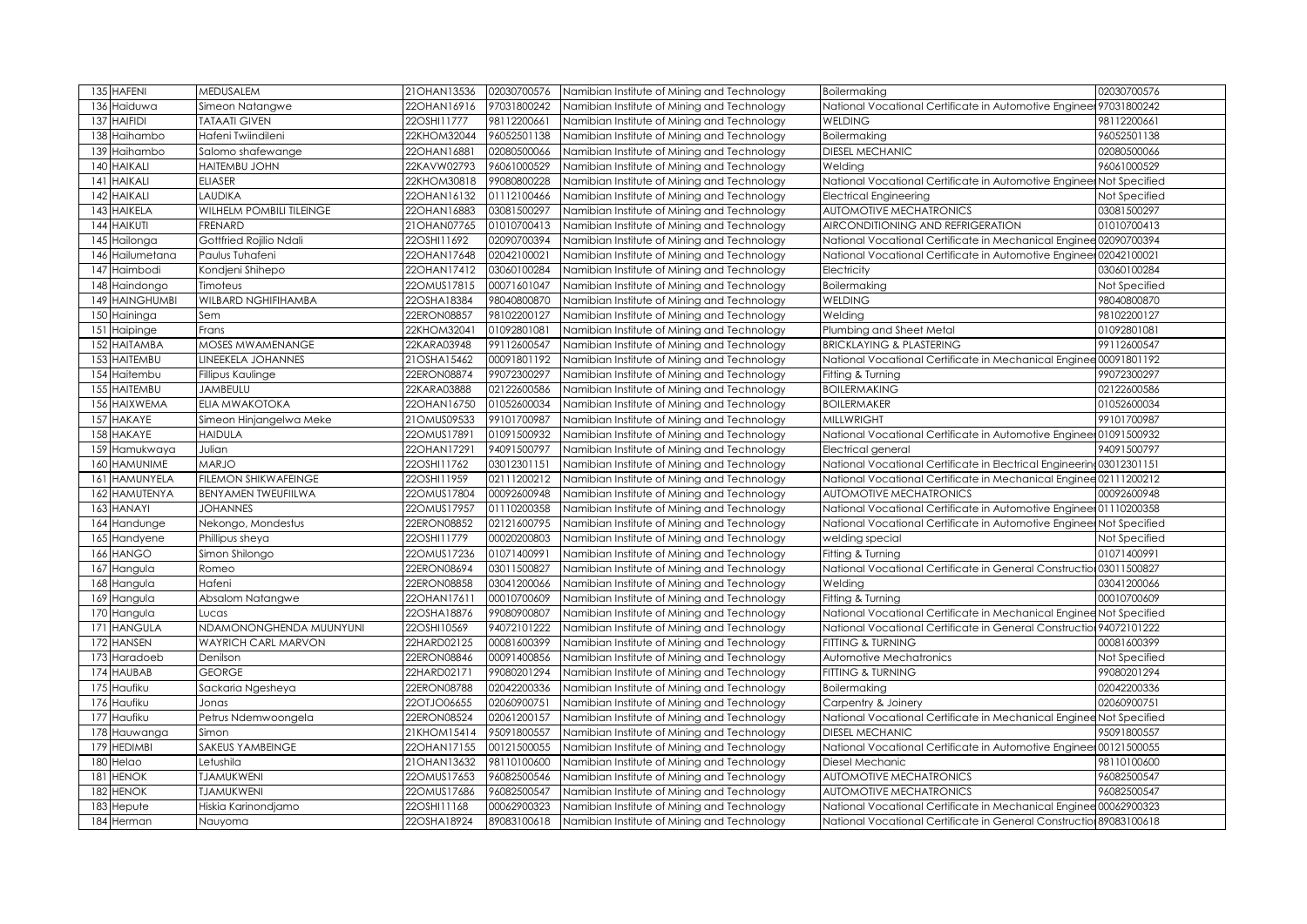| <b>HAFENI</b><br>135        | MEDUSALEM                | 21 OHAN 13536<br>02030700576 | Namibian Institute of Mining and Technology | <b>Boilermaking</b>                                                   | 02030700576   |
|-----------------------------|--------------------------|------------------------------|---------------------------------------------|-----------------------------------------------------------------------|---------------|
| Haiduwa<br>13               | Simeon Natangwe          | 22OHAN16916<br>97031800242   | Namibian Institute of Mining and Technology | National Vocational Certificate in Automotive Engineer 97031800242    |               |
| <b>HAIFIDI</b><br>137       | <b>TATAATI GIVEN</b>     | 22OSHI11777<br>98112200661   | Namibian Institute of Mining and Technology | <b>WELDING</b>                                                        | 98112200661   |
| 138<br>Haihambo             | Hafeni Twiindileni       | 96052501138<br>22KHOM32044   | Namibian Institute of Mining and Technology | Boilermaking                                                          | 96052501138   |
| 139<br>Haihambo             | Salomo shafewange        | 22OHAN16881<br>02080500066   | Namibian Institute of Mining and Technology | <b>DIESEL MECHANIC</b>                                                | 02080500066   |
| HAIKALI<br>140              | <b>HAITEMBU JOHN</b>     | 22KAVW02793<br>96061000529   | Namibian Institute of Mining and Technology | Welding                                                               | 96061000529   |
| HAIKALI<br>14 <sup>°</sup>  | <b>ELIASER</b>           | 22KHOM30818<br>99080800228   | Namibian Institute of Mining and Technology | National Vocational Certificate in Automotive Engineer Not Specified  |               |
| <b>HAIKALI</b><br>142       | LAUDIKA                  | 01112100466<br>22OHAN16132   | Namibian Institute of Mining and Technology | <b>Electrical Engineering</b>                                         | Not Specified |
| <b>HAIKELA</b><br>143       | WILHELM POMBILI TILEINGE | 03081500297<br>22OHAN16883   | Namibian Institute of Mining and Technology | <b>AUTOMOTIVE MECHATRONICS</b>                                        | 03081500297   |
| <b>HAIKUTI</b><br>144       | <b>FRENARD</b>           | 21OHAN07765<br>01010700413   | Namibian Institute of Mining and Technology | AIRCONDITIONING AND REFRIGERATION                                     | 01010700413   |
| Hailonga<br>145             | Gottfried Rojilio Ndali  | 22OSHI11692<br>02090700394   | Namibian Institute of Mining and Technology | National Vocational Certificate in Mechanical Enginee 02090700394     |               |
| Hailumetana<br>146          | Paulus Tuhafeni          | 02042100021<br>22OHAN17648   | Namibian Institute of Mining and Technology | National Vocational Certificate in Automotive Engineer 02042100021    |               |
| Haimbodi<br>147             | Kondjeni Shihepo         | 03060100284<br>22OHAN17412   | Namibian Institute of Mining and Technology | Electricity                                                           | 03060100284   |
| Haindongo<br>148            | Timoteus                 | 00071601047<br>22OMUS17815   | Namibian Institute of Mining and Technology | Boilermaking                                                          | Not Specified |
| <b>HAINGHUMBI</b><br>149    | WILBARD NGHIFIHAMBA      | 22OSHA18384<br>98040800870   | Namibian Institute of Mining and Technology | <b>WELDING</b>                                                        | 98040800870   |
| 150<br>Haininga             | Sem                      | 22ERON08857<br>98102200127   | Namibian Institute of Mining and Technology | Welding                                                               | 98102200127   |
| 15 <sup>°</sup><br>Haipinge | Frans                    | 01092801081<br>22KHOM32041   | Namibian Institute of Mining and Technology | Plumbing and Sheet Metal                                              | 01092801081   |
| 152<br><b>HAITAMBA</b>      | MOSES MWAMENANGE         | 99112600547<br>22KARA03948   | Namibian Institute of Mining and Technology | <b>BRICKLAYING &amp; PLASTERING</b>                                   | 99112600547   |
| <b>HAITEMBU</b><br>153      | LINEEKELA JOHANNES       | 21OSHA15462<br>00091801192   | Namibian Institute of Mining and Technology | National Vocational Certificate in Mechanical Enginee 00091801192     |               |
| 154 Haitembu                | Fillipus Kaulinge        | 22ERON08874<br>99072300297   | Namibian Institute of Mining and Technology | Fitting & Turning                                                     | 99072300297   |
| <b>HAITEMBU</b><br>155      | <b>JAMBEULU</b>          | 02122600586<br>22KARA03888   | Namibian Institute of Mining and Technology | <b>BOILERMAKING</b>                                                   | 02122600586   |
| <b>HAIXWEMA</b><br>156      | ELIA MWAKOTOKA           | 01052600034<br>22OHAN16750   | Namibian Institute of Mining and Technology | <b>BOILERMAKER</b>                                                    | 01052600034   |
| <b>HAKAYE</b><br>157        | Simeon Hinjangelwa Meke  | 21OMUS09533<br>99101700987   | Namibian Institute of Mining and Technology | <b>MILLWRIGHT</b>                                                     | 99101700987   |
| <b>HAKAYE</b><br>158        | <b>HAIDULA</b>           | 22OMUS17891<br>01091500932   | Namibian Institute of Mining and Technology | National Vocational Certificate in Automotive Engineer 01091500932    |               |
| Hamukwaya<br>159            | Julian                   | 94091500797<br>22OHAN17291   | Namibian Institute of Mining and Technology | Electrical general                                                    | 94091500797   |
| <b>HAMUNIME</b><br>160      | <b>MARJO</b>             | 03012301151<br>22OSHI11762   | Namibian Institute of Mining and Technology | National Vocational Certificate in Electrical Engineering 03012301151 |               |
| <b>HAMUNYELA</b><br>161     | FILEMON SHIKWAFEINGE     | 02111200212<br>22OSHI11959   | Namibian Institute of Mining and Technology | National Vocational Certificate in Mechanical Enginee 02111200212     |               |
| <b>HAMUTENYA</b><br>162     | BENYAMEN TWEUFIILWA      | 00092600948<br>22OMUS17804   | Namibian Institute of Mining and Technology | <b>AUTOMOTIVE MECHATRONICS</b>                                        | 00092600948   |
| <b>HANAYI</b><br>163        | <b>JOHANNES</b>          | 22OMUS17957<br>01110200358   | Namibian Institute of Mining and Technology | National Vocational Certificate in Automotive Engineer 01110200358    |               |
| 164 Handunge                | Nekongo, Mondestus       | 22ERON08852<br>02121600795   | Namibian Institute of Mining and Technology | National Vocational Certificate in Automotive Engineer Not Specified  |               |
| 165<br>Handyene             | Phillipus sheya          | 00020200803<br>22OSHI11779   | Namibian Institute of Mining and Technology | welding special                                                       | Not Specified |
| <b>HANGO</b><br>166         | Simon Shilongo           | 01071400991<br>22OMUS17236   | Namibian Institute of Mining and Technology | Fitting & Turning                                                     | 01071400991   |
| 167<br>Hangula              | Romeo                    | 03011500827<br>22ERON08694   | Namibian Institute of Mining and Technology | National Vocational Certificate in General Construction 03011500827   |               |
| Hangula<br>168              | Hafeni                   | 22ERON08858<br>03041200066   | Namibian Institute of Mining and Technology | Welding                                                               | 03041200066   |
| 169<br>Hangula              | Absalom Natangwe         | 00010700609<br>22OHAN17611   | Namibian Institute of Mining and Technology | Fitting & Turning                                                     | 00010700609   |
| Hangula<br>170              | Lucas                    | 22OSHA18876<br>99080900807   | Namibian Institute of Mining and Technology | National Vocational Certificate in Mechanical Enginee Not Specified   |               |
| <b>HANGULA</b><br>17'       | NDAMONONGHENDA MUUNYUNI  | 22OSHI10569<br>94072101222   | Namibian Institute of Mining and Technology | National Vocational Certificate in General Construction 94072101222   |               |
| <b>HANSEN</b><br>172        | WAYRICH CARL MARVON      | 00081600399<br>22HARD02125   | Namibian Institute of Mining and Technology | FITTING & TURNING                                                     | 00081600399   |
| 173<br>Haradoeb             | Denilson                 | 00091400856<br>22ERON08846   | Namibian Institute of Mining and Technology | Automotive Mechatronics                                               | Not Specified |
| <b>HAUBAB</b><br>174        | <b>GEORGE</b>            | 22HARD02171<br>99080201294   | Namibian Institute of Mining and Technology | FITTING & TURNING                                                     | 99080201294   |
| Haufiku<br>175              | Sackaria Ngesheya        | 22ERON08788<br>02042200336   | Namibian Institute of Mining and Technology | Boilermaking                                                          | 02042200336   |
| Haufiku<br>176              | Jonas                    | 02060900751<br>22OTJO06655   | Namibian Institute of Mining and Technology | Carpentry & Joinery                                                   | 02060900751   |
| Haufiku<br>177              | Petrus Ndemwoongela      | 22ERON08524<br>02061200157   | Namibian Institute of Mining and Technology | National Vocational Certificate in Mechanical Enginee Not Specified   |               |
| 178<br>Hauwanga             | Simon                    | 95091800557<br>21KHOM15414   | Namibian Institute of Mining and Technology | <b>DIESEL MECHANIC</b>                                                | 95091800557   |
| <b>HEDIMBI</b><br>179       | SAKEUS YAMBEINGE         | 22OHAN17155<br>00121500055   | Namibian Institute of Mining and Technology | National Vocational Certificate in Automotive Engineer 00121500055    |               |
| Helao<br>180                | Letushila                | 21OHAN13632<br>98110100600   | Namibian Institute of Mining and Technology | Diesel Mechanic                                                       | 98110100600   |
| <b>HENOK</b><br>18.         | <b>TJAMUKWENI</b>        | 96082500546<br>22OMUS17653   | Namibian Institute of Mining and Technology | <b>AUTOMOTIVE MECHATRONICS</b>                                        | 96082500547   |
| <b>HENOK</b><br>182         | <b>IJAMUKWENI</b>        | 22OMUS17686<br>96082500547   | Namibian Institute of Mining and Technology | <b>AUTOMOTIVE MECHATRONICS</b>                                        | 96082500547   |
| Hepute<br>18.               | Hiskia Karinondjamo      | 22OSHI11168<br>00062900323   | Namibian Institute of Mining and Technology | National Vocational Certificate in Mechanical Enginee 00062900323     |               |
| 184 Herman                  | Nauyoma                  | 22OSHA18924<br>89083100618   | Namibian Institute of Mining and Technology | National Vocational Certificate in General Construction 89083100618   |               |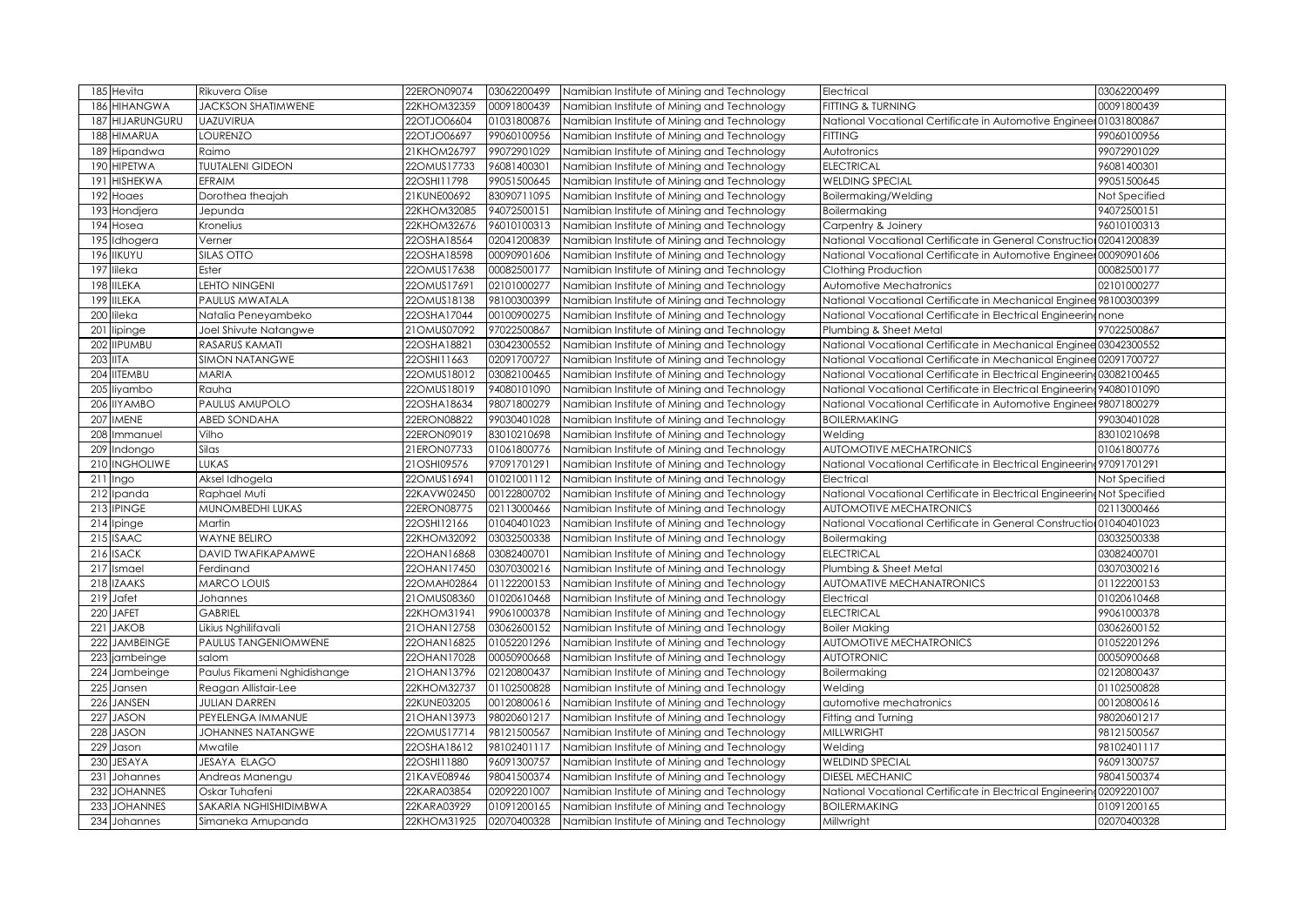| 185 Hevita              | Rikuvera Olise               | 22ERON09074   | 03062200499 | Namibian Institute of Mining and Technology | Electrical                                                              | 03062200499   |
|-------------------------|------------------------------|---------------|-------------|---------------------------------------------|-------------------------------------------------------------------------|---------------|
| 186<br><b>HIHANGWA</b>  | <b>JACKSON SHATIMWENE</b>    | 22KHOM32359   | 00091800439 | Namibian Institute of Mining and Technology | <b>FITTING &amp; TURNING</b>                                            | 00091800439   |
| HIJARUNGURU<br>187      | <b>UAZUVIRUA</b>             | 22OTJO06604   | 01031800876 | Namibian Institute of Mining and Technology | National Vocational Certificate in Automotive Engineer 01031800867      |               |
| <b>HIMARUA</b><br>188   | <b>LOURENZO</b>              | 22OTJO06697   | 99060100956 | Namibian Institute of Mining and Technology | FITTING                                                                 | 99060100956   |
| 189<br>Hipandwa         | Raimo                        | 21KHOM26797   | 99072901029 | Namibian Institute of Mining and Technology | Autotronics                                                             | 99072901029   |
| 190<br><b>HIPETWA</b>   | <b>TUUTALENI GIDEON</b>      | 22OMUS17733   | 96081400301 | Namibian Institute of Mining and Technology | <b>ELECTRICAL</b>                                                       | 96081400301   |
| <b>HISHEKWA</b><br>191  | EFRAIM                       | 22OSHI11798   | 99051500645 | Namibian Institute of Mining and Technology | <b>WELDING SPECIAL</b>                                                  | 99051500645   |
| 192<br>Hoaes            | Dorothea theajah             | 21KUNE00692   | 83090711095 | Namibian Institute of Mining and Technology | Boilermaking/Welding                                                    | Not Specified |
| 193<br>Hondjera         | Jepunda                      | 22KHOM32085   | 94072500151 | Namibian Institute of Mining and Technology | Boilermaking                                                            | 94072500151   |
| 194<br>Hosea            | Kronelius                    | 22KHOM32676   | 96010100313 | Namibian Institute of Mining and Technology | Carpentry & Joinery                                                     | 96010100313   |
| 195 Idhogera            | Verner                       | 22OSHA18564   | 02041200839 | Namibian Institute of Mining and Technology | National Vocational Certificate in General Construction 02041200839     |               |
| 196 IIKUYU              | <b>SILAS OTTO</b>            | 22OSHA18598   | 00090901606 | Namibian Institute of Mining and Technology | National Vocational Certificate in Automotive Engineer 00090901606      |               |
| 197<br>lileka           | Ester                        | 22OMUS17638   | 00082500177 | Namibian Institute of Mining and Technology | Clothing Production                                                     | 00082500177   |
| 198<br><b>IILEKA</b>    | <b>LEHTO NINGENI</b>         | 22OMUS17691   | 02101000277 | Namibian Institute of Mining and Technology | Automotive Mechatronics                                                 | 02101000277   |
| <b>IILEKA</b><br>199    | PAULUS MWATALA               | 22OMUS18138   | 98100300399 | Namibian Institute of Mining and Technology | National Vocational Certificate in Mechanical Enginee 98100300399       |               |
| 200<br>lileka           | Natalia Peneyambeko          | 22OSHA17044   | 00100900275 | Namibian Institute of Mining and Technology | National Vocational Certificate in Electrical Engineering none          |               |
| lipinge<br>201          | Joel Shivute Natangwe        | 21OMUS07092   | 97022500867 | Namibian Institute of Mining and Technology | Plumbing & Sheet Metal                                                  | 97022500867   |
| 202 IIPUMBU             | <b>RASARUS KAMATI</b>        | 22OSHA18821   | 03042300552 | Namibian Institute of Mining and Technology | National Vocational Certificate in Mechanical Enginee 03042300552       |               |
| 203<br><b>IITA</b>      | <b>SIMON NATANGWE</b>        | 22OSHI11663   | 02091700727 | Namibian Institute of Mining and Technology | National Vocational Certificate in Mechanical Enginee 02091700727       |               |
| 204 IITEMBU             | <b>MARIA</b>                 | 22OMUS18012   | 03082100465 | Namibian Institute of Mining and Technology | National Vocational Certificate in Electrical Engineering03082100465    |               |
| 205<br>liyambo          | Rauha                        | 22OMUS18019   | 94080101090 | Namibian Institute of Mining and Technology | National Vocational Certificate in Electrical Engineering 94080101090   |               |
| 206 IIYAMBO             | PAULUS AMUPOLO               | 22OSHA18634   | 98071800279 | Namibian Institute of Mining and Technology | National Vocational Certificate in Automotive Engineer 98071800279      |               |
| <b>IMENE</b><br>207     | <b>ABED SONDAHA</b>          | 22ERON08822   | 99030401028 | Namibian Institute of Mining and Technology | <b>BOILERMAKING</b>                                                     | 99030401028   |
| 208 Immanuel            | Vilho                        | 22ERON09019   | 83010210698 | Namibian Institute of Mining and Technology | Welding                                                                 | 83010210698   |
| Indongo<br>209          | Silas                        | 21ERON07733   | 01061800776 | Namibian Institute of Mining and Technology | <b>AUTOMOTIVE MECHATRONICS</b>                                          | 01061800776   |
| 210<br><b>INGHOLIWE</b> | <b>LUKAS</b>                 | 21OSHI09576   | 97091701291 | Namibian Institute of Mining and Technology | National Vocational Certificate in Electrical Engineering 97091701291   |               |
| 211<br>Ingo             | Aksel Idhogela               | 22OMUS16941   | 01021001112 | Namibian Institute of Mining and Technology | Electrical                                                              | Not Specified |
| 212 Ipanda              | Raphael Muti                 | 22KAVW02450   | 00122800702 | Namibian Institute of Mining and Technology | National Vocational Certificate in Electrical Engineering Not Specified |               |
| <b>IPINGE</b><br>213    | MUNOMBEDHI LUKAS             | 22ERON08775   | 02113000466 | Namibian Institute of Mining and Technology | <b>AUTOMOTIVE MECHATRONICS</b>                                          | 02113000466   |
| $214$ Ipinge            | Martin                       | 22OSHI12166   | 01040401023 | Namibian Institute of Mining and Technology | National Vocational Certificate in General Construction01040401023      |               |
| 215 ISAAC               | <b>WAYNE BELIRO</b>          | 22KHOM32092   | 03032500338 | Namibian Institute of Mining and Technology | Boilermaking                                                            | 03032500338   |
| 216 ISACK               | DAVID TWAFIKAPAMWE           | 22OHAN16868   | 03082400701 | Namibian Institute of Mining and Technology | <b>ELECTRICAL</b>                                                       | 03082400701   |
| 217<br>Ismael           | Ferdinand                    | 22OHAN17450   | 03070300216 | Namibian Institute of Mining and Technology | Plumbing & Sheet Metal                                                  | 03070300216   |
| 218 IZAAKS              | <b>MARCO LOUIS</b>           | 22OMAH02864   | 01122200153 | Namibian Institute of Mining and Technology | <b>AUTOMATIVE MECHANATRONICS</b>                                        | 01122200153   |
| 219 Jafet               | Johannes                     | 21OMUS08360   | 01020610468 | Namibian Institute of Mining and Technology | Electrical                                                              | 01020610468   |
| 220 JAFET               | <b>GABRIEL</b>               | 22KHOM31941   | 99061000378 | Namibian Institute of Mining and Technology | <b>ELECTRICAL</b>                                                       | 99061000378   |
| 221<br><b>JAKOB</b>     | Likius Nghilifavali          | 21 OHAN 12758 | 03062600152 | Namibian Institute of Mining and Technology | <b>Boiler Making</b>                                                    | 03062600152   |
| 222 JAMBEINGE           | <b>PAULUS TANGENIOMWENE</b>  | 22OHAN16825   | 01052201296 | Namibian Institute of Mining and Technology | <b>AUTOMOTIVE MECHATRONICS</b>                                          | 01052201296   |
| 223 jambeinge           | salom                        | 22OHAN17028   | 00050900668 | Namibian Institute of Mining and Technology | <b>AUTOTRONIC</b>                                                       | 00050900668   |
| 224 Jambeinge           | Paulus Fikameni Nghidishange | 21 OHAN 13796 | 02120800437 | Namibian Institute of Mining and Technology | Boilermaking                                                            | 02120800437   |
| 225 Jansen              | Reagan Allistair-Lee         | 22KHOM32737   | 01102500828 | Namibian Institute of Mining and Technology | Welding                                                                 | 01102500828   |
| 226 JANSEN              | <b>JULIAN DARREN</b>         | 22KUNE03205   | 00120800616 | Namibian Institute of Mining and Technology | automotive mechatronics                                                 | 00120800616   |
| <b>JASON</b><br>227     | PEYELENGA IMMANUE            | 21 OHAN 13973 | 98020601217 | Namibian Institute of Mining and Technology | Fitting and Turning                                                     | 98020601217   |
| 228 JASON               | <b>JOHANNES NATANGWE</b>     | 22OMUS17714   | 98121500567 | Namibian Institute of Mining and Technology | <b>MILLWRIGHT</b>                                                       | 98121500567   |
| 229<br>Jason            | Mwatile                      | 22OSHA18612   | 98102401117 | Namibian Institute of Mining and Technology | Welding                                                                 | 98102401117   |
| <b>JESAYA</b><br>230    | JESAYA ELAGO                 | 22OSHI11880   | 96091300757 | Namibian Institute of Mining and Technology | <b>WELDIND SPECIAL</b>                                                  | 96091300757   |
| 231<br>Johannes         | Andreas Manengu              | 21KAVE08946   | 98041500374 | Namibian Institute of Mining and Technology | <b>DIESEL MECHANIC</b>                                                  | 98041500374   |
| 232<br><b>JOHANNES</b>  | Oskar Tuhafeni               | 22KARA03854   | 02092201007 | Namibian Institute of Mining and Technology | National Vocational Certificate in Electrical Engineering02092201007    |               |
| 233<br><b>JOHANNES</b>  | SAKARIA NGHISHIDIMBWA        | 22KARA03929   | 01091200165 | Namibian Institute of Mining and Technology | <b>BOILERMAKING</b>                                                     | 01091200165   |
| 234 Johannes            | Simaneka Amupanda            | 22KHOM31925   | 02070400328 | Namibian Institute of Mining and Technology | Millwright                                                              | 02070400328   |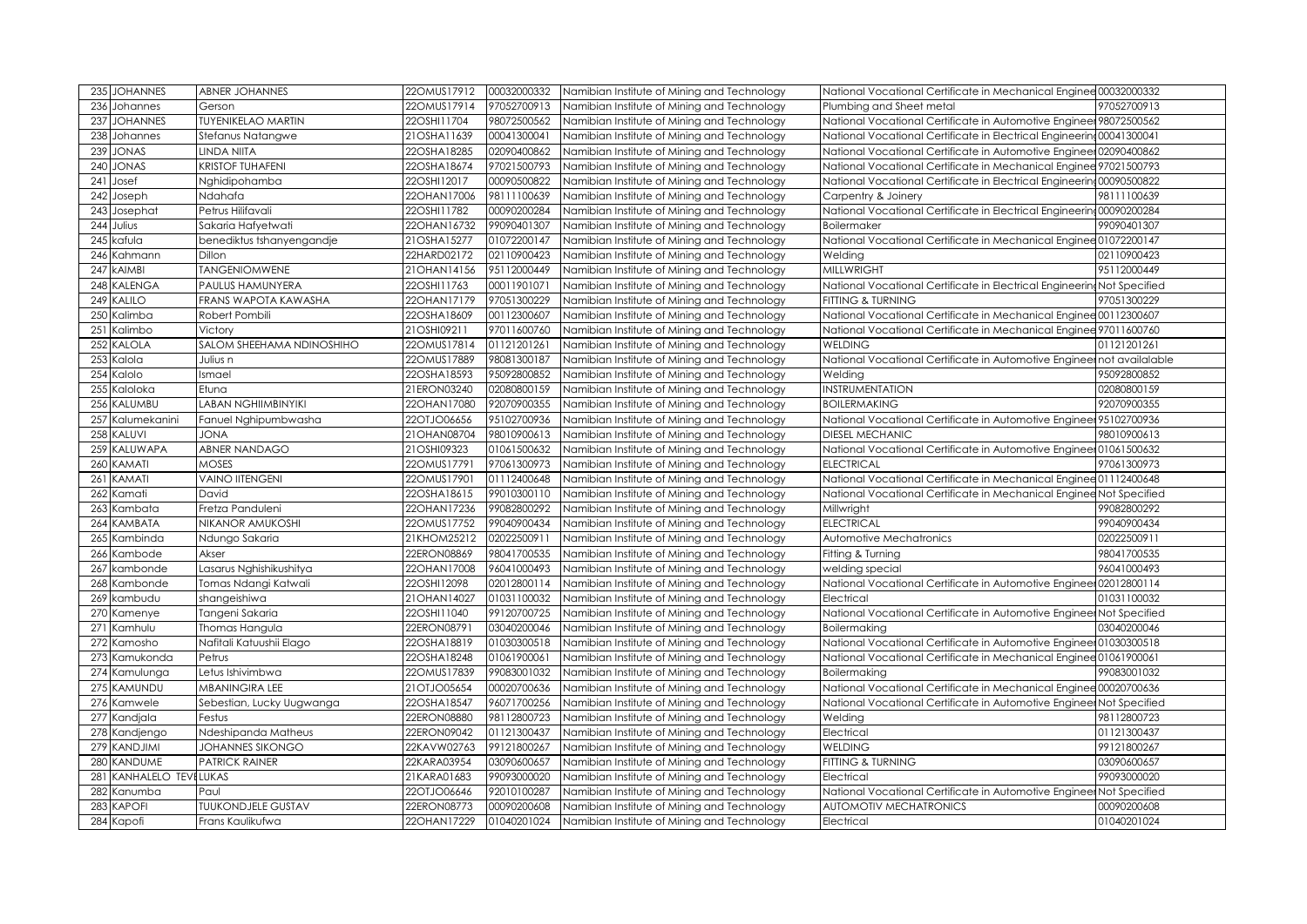| 235 JOHANNES                   | <b>ABNER JOHANNES</b>                         | 22OMUS17912                | 00032000332                | Namibian Institute of Mining and Technology                                                | National Vocational Certificate in Mechanical Enginee 00032000332       |                            |
|--------------------------------|-----------------------------------------------|----------------------------|----------------------------|--------------------------------------------------------------------------------------------|-------------------------------------------------------------------------|----------------------------|
| 236<br>Johannes                | Gerson                                        | 22OMUS17914                | 97052700913                | Namibian Institute of Mining and Technology                                                | Plumbing and Sheet metal                                                | 97052700913                |
| 237<br><b>JOHANNES</b>         | <b>TUYENIKELAO MARTIN</b>                     | 22OSHI11704                | 98072500562                | Namibian Institute of Mining and Technology                                                | National Vocational Certificate in Automotive Engineer 98072500562      |                            |
| 238<br>Johannes                | Stefanus Natangwe                             | 21OSHA11639                | 00041300041                | Namibian Institute of Mining and Technology                                                | National Vocational Certificate in Electrical Engineering 00041300041   |                            |
| <b>JONAS</b><br>239            | <b>LINDA NIITA</b>                            | 22OSHA18285                | 02090400862                | Namibian Institute of Mining and Technology                                                | National Vocational Certificate in Automotive Engineer 02090400862      |                            |
| 240<br><b>JONAS</b>            | <b>KRISTOF TUHAFENI</b>                       | 22OSHA18674                | 97021500793                | Namibian Institute of Mining and Technology                                                | National Vocational Certificate in Mechanical Enginee 97021500793       |                            |
| 241<br>Josef                   | Nghidipohamba                                 | 22OSHI12017                | 00090500822                | Namibian Institute of Mining and Technology                                                | National Vocational Certificate in Electrical Engineering00090500822    |                            |
| 242<br>Joseph                  | Ndahafa                                       | 22OHAN17006                | 98111100639                | Namibian Institute of Mining and Technology                                                | Carpentry & Joinery                                                     | 98111100639                |
| 243<br>Josephat                | Petrus Hilifavali                             | 22OSHI11782                | 00090200284                | Namibian Institute of Mining and Technology                                                | National Vocational Certificate in Electrical Engineering00090200284    |                            |
| 244<br>Julius                  | Sakaria Hafyetwati                            | 22OHAN16732                | 99090401307                | Namibian Institute of Mining and Technology                                                | Boilermaker                                                             | 99090401307                |
| kafula<br>245                  | benediktus tshanyengandje                     | 21OSHA15277                | 01072200147                | Namibian Institute of Mining and Technology                                                | National Vocational Certificate in Mechanical Enginee 01072200147       |                            |
| Kahmann<br>246                 | Dillon                                        | 22HARD02172                | 02110900423                | Namibian Institute of Mining and Technology                                                | Welding                                                                 | 02110900423                |
| <b>AIMBI</b><br>247            | <b>TANGENIOMWENE</b>                          | 21OHAN14156                | 95112000449                | Namibian Institute of Mining and Technology                                                | <b>MILLWRIGHT</b>                                                       | 95112000449                |
| 248<br><b>KALENGA</b>          | PAULUS HAMUNYERA                              | 22OSHI11763                | 00011901071                | Namibian Institute of Mining and Technology                                                | National Vocational Certificate in Electrical Engineering Not Specified |                            |
| KALILO<br>249                  | FRANS WAPOTA KAWASHA                          | 22OHAN17179                | 97051300229                | Namibian Institute of Mining and Technology                                                | <b>FITTING &amp; TURNING</b>                                            | 97051300229                |
| Kalimba<br>250                 | Robert Pombili                                | 22OSHA18609                | 00112300607                | Namibian Institute of Mining and Technology                                                | National Vocational Certificate in Mechanical Enginee 00112300607       |                            |
| Kalimbo<br>251                 | Victory                                       | 21OSHI09211                | 97011600760                | Namibian Institute of Mining and Technology                                                | National Vocational Certificate in Mechanical Enginee 97011600760       |                            |
| KALOLA<br>252                  | SALOM SHEEHAMA NDINOSHIHO                     | 22OMUS17814                | 01121201261                | Namibian Institute of Mining and Technology                                                | <b>WELDING</b>                                                          | 01121201261                |
| Kalola<br>253                  | Julius n                                      | 22OMUS17889                | 98081300187                | Namibian Institute of Mining and Technology                                                | National Vocational Certificate in Automotive Engineer not availalable  |                            |
| Kalolo<br>254                  | Ismael                                        | 22OSHA18593                | 95092800852                | Namibian Institute of Mining and Technology                                                | Welding                                                                 | 95092800852                |
| 255<br>Kaloloka                | Etuna                                         | 21ERON03240                | 02080800159                | Namibian Institute of Mining and Technology                                                | INSTRUMENTATION                                                         | 02080800159                |
| KALUMBU<br>256                 | <b>LABAN NGHIIMBINYIKI</b>                    | 22OHAN17080                | 92070900355                | Namibian Institute of Mining and Technology                                                | <b>BOILERMAKING</b>                                                     | 92070900355                |
| Kalumekanini<br>257            | Fanuel Nghipumbwasha                          | 22OTJO06656                | 95102700936                | Namibian Institute of Mining and Technology                                                | National Vocational Certificate in Automotive Engineer 95102700936      |                            |
| 258<br>KALUVI                  | <b>JONA</b>                                   | 21OHAN08704                | 98010900613                | Namibian Institute of Mining and Technology                                                | DIESEL MECHANIC                                                         | 98010900613                |
| KALUWAPA<br>259                | <b>ABNER NANDAGO</b>                          | 21OSHI09323                | 01061500632                | Namibian Institute of Mining and Technology                                                | National Vocational Certificate in Automotive Engineer 01061500632      |                            |
| KAMATI<br>260                  | <b>MOSES</b>                                  | 22OMUS17791                | 97061300973                | Namibian Institute of Mining and Technology                                                | <b>ELECTRICAL</b>                                                       | 97061300973                |
|                                |                                               |                            |                            |                                                                                            |                                                                         |                            |
| KAMATI<br>261                  | <b>VAINO IITENGENI</b>                        | 22OMUS17901                | 01112400648                | Namibian Institute of Mining and Technology                                                | National Vocational Certificate in Mechanical Enginee 01112400648       |                            |
| Kamati<br>262                  | David                                         | 22OSHA18615                | 99010300110                | Namibian Institute of Mining and Technology                                                | National Vocational Certificate in Mechanical Enginee Not Specified     |                            |
| 263<br>Kambata                 | Fretza Panduleni                              | 22OHAN17236                | 99082800292                | Namibian Institute of Mining and Technology                                                | Millwright                                                              | 99082800292                |
| 264<br>KAMBATA                 | NIKANOR AMUKOSHI                              | 22OMUS17752                | 99040900434                | Namibian Institute of Mining and Technology                                                | <b>ELECTRICAL</b>                                                       | 99040900434                |
| 265<br>Kambinda                | Ndungo Sakaria                                | 21KHOM25212                | 02022500911                | Namibian Institute of Mining and Technology                                                | Automotive Mechatronics                                                 | 02022500911                |
| 266<br>Kambode                 | Akser                                         | 22ERON08869                | 98041700535                | Namibian Institute of Mining and Technology                                                | Fitting & Turning                                                       | 98041700535                |
| 267<br>kambonde                | Lasarus Nghishikushitya                       | 22OHAN17008                | 96041000493                | Namibian Institute of Mining and Technology                                                | welding special                                                         | 96041000493                |
| 268<br>Kambonde                | Tomas Ndangi Katwali                          | 22OSHI12098                | 02012800114                | Namibian Institute of Mining and Technology                                                | National Vocational Certificate in Automotive Engineer 02012800114      |                            |
| 269<br>kambudu                 | shangeishiwa                                  | 21OHAN14027                | 01031100032                | Namibian Institute of Mining and Technology                                                | Electrical                                                              | 01031100032                |
| 270<br>Kamenye                 | Tangeni Sakaria                               | 22OSHI11040                | 99120700725                | Namibian Institute of Mining and Technology                                                | National Vocational Certificate in Automotive Engineer Not Specified    |                            |
| 271<br>Kamhulu                 | Thomas Hangula                                | 22ERON08791                | 03040200046                | Namibian Institute of Mining and Technology                                                | Boilermaking                                                            | 03040200046                |
| 272<br>Kamosho                 | Nafitali Katuushii Elago                      | 22OSHA18819                | 01030300518                | Namibian Institute of Mining and Technology                                                | National Vocational Certificate in Automotive Engineer 01030300518      |                            |
| 273<br>Kamukonda               | Petrus                                        | 22OSHA18248                | 01061900061                | Namibian Institute of Mining and Technology                                                | National Vocational Certificate in Mechanical Enginee 01061900061       |                            |
| 274<br>Kamulunga               | Letus Ishivimbwa                              | 22OMUS17839                | 99083001032                | Namibian Institute of Mining and Technology                                                | Boilermaking                                                            | 99083001032                |
| 275<br>KAMUNDU                 | MBANINGIRA LEE                                | 21OTJO05654                | 00020700636                | Namibian Institute of Mining and Technology                                                | National Vocational Certificate in Mechanical Enginee 00020700636       |                            |
| 276<br>Kamwele                 | Sebestian, Lucky Uugwanga                     | 22OSHA18547                | 96071700256                | Namibian Institute of Mining and Technology                                                | National Vocational Certificate in Automotive Engineer Not Specified    |                            |
| 277<br>Kandjala                | Festus                                        | 22ERON08880                | 98112800723                | Namibian Institute of Mining and Technology                                                | Welding                                                                 | 98112800723                |
| Kandjengo<br>278               | Ndeshipanda Matheus                           | 22ERON09042                | 01121300437                | Namibian Institute of Mining and Technology                                                | Electrical                                                              | 01121300437                |
| 279<br>KANDJIMI                | <b>JOHANNES SIKONGO</b>                       | 22KAVW02763                | 99121800267                | Namibian Institute of Mining and Technology                                                | <b>WELDING</b>                                                          | 99121800267                |
| KANDUME<br>280                 | <b>PATRICK RAINER</b>                         | 22KARA03954                | 03090600657                | Namibian Institute of Mining and Technology                                                | FITTING & TURNING                                                       | 03090600657                |
| 281<br>KANHALELO TEVELUKAS     |                                               | 21KARA01683                | 99093000020                | Namibian Institute of Mining and Technology                                                | Electrical                                                              | 99093000020                |
| 282<br>Kanumba                 | Paul                                          | 22OTJO06646                | 92010100287                | Namibian Institute of Mining and Technology                                                | National Vocational Certificate in Automotive Engineer Not Specified    |                            |
| 283<br>KAPOFI<br>284<br>Kapofi | <b>TUUKONDJELE GUSTAV</b><br>Frans Kaulikufwa | 22ERON08773<br>22OHAN17229 | 00090200608<br>01040201024 | Namibian Institute of Mining and Technology<br>Namibian Institute of Mining and Technology | <b>AUTOMOTIV MECHATRONICS</b><br>Electrical                             | 00090200608<br>01040201024 |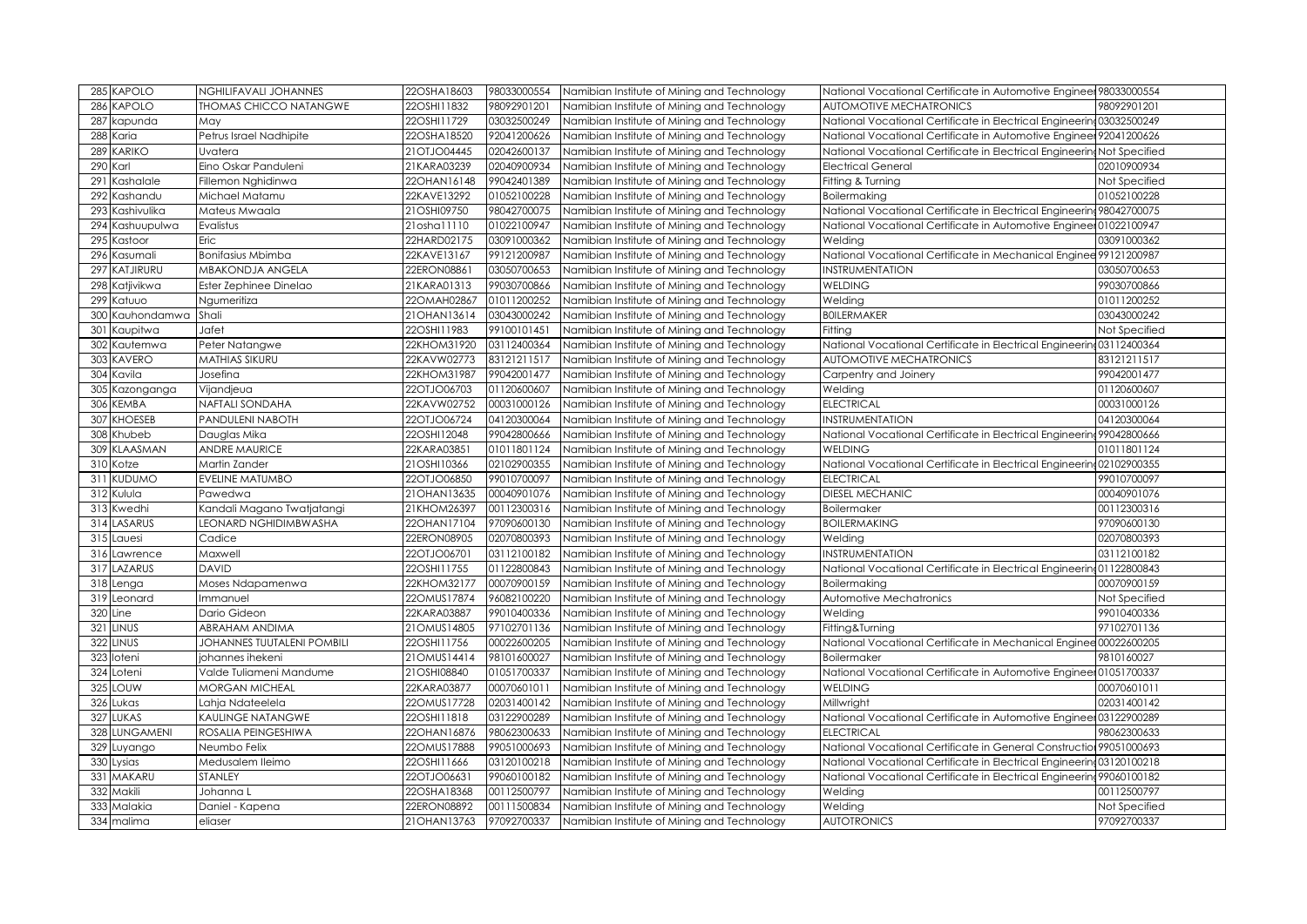| 285 KAPOLO      | <b>NGHILIFAVALI JOHANNES</b>  | 22OSHA18603   | 98033000554 | Namibian Institute of Mining and Technology | National Vocational Certificate in Automotive Engineer 98033000554    |               |
|-----------------|-------------------------------|---------------|-------------|---------------------------------------------|-----------------------------------------------------------------------|---------------|
| 286 KAPOLO      | <b>THOMAS CHICCO NATANGWE</b> | 22OSHI11832   | 98092901201 | Namibian Institute of Mining and Technology | <b>AUTOMOTIVE MECHATRONICS</b>                                        | 98092901201   |
| 287<br>kapunda  | May                           | 22OSHI11729   | 03032500249 | Namibian Institute of Mining and Technology | National Vocational Certificate in Electrical Engineering 03032500249 |               |
| 288 Karia       | Petrus Israel Nadhipite       | 22OSHA18520   | 92041200626 | Namibian Institute of Mining and Technology | National Vocational Certificate in Automotive Engineer 92041200626    |               |
| 289 KARIKO      | Uvatera                       | 21OTJO04445   | 02042600137 | Namibian Institute of Mining and Technology | National Vocational Certificate in Electrical Engineering             | Not Specified |
| 290 Karl        | Eino Oskar Panduleni          | 21KARA03239   | 02040900934 | Namibian Institute of Mining and Technology | <b>Electrical General</b>                                             | 02010900934   |
| 291 Kashalale   | Fillemon Nghidinwa            | 22OHAN16148   | 99042401389 | Namibian Institute of Mining and Technology | Fitting & Turning                                                     | Not Specified |
| 292 Kashandu    | Michael Matamu                | 22KAVE13292   | 01052100228 | Namibian Institute of Mining and Technology | Boilermaking                                                          | 01052100228   |
| 293 Kashivulika | Mateus Mwaala                 | 21OSHI09750   | 98042700075 | Namibian Institute of Mining and Technology | National Vocational Certificate in Electrical Engineering 98042700075 |               |
| 294 Kashuupulwa | Evalistus                     | 21osha11110   | 01022100947 | Namibian Institute of Mining and Technology | National Vocational Certificate in Automotive Engineer 01022100947    |               |
| 295 Kastoor     | Eric                          | 22HARD02175   | 03091000362 | Namibian Institute of Mining and Technology | Welding                                                               | 03091000362   |
| 296 Kasumali    | <b>Bonifasius Mbimba</b>      | 22KAVE13167   | 99121200987 | Namibian Institute of Mining and Technology | National Vocational Certificate in Mechanical Enginee 99121200987     |               |
| 297 KATJIRURU   | MBAKONDJA ANGELA              | 22ERON08861   | 03050700653 | Namibian Institute of Mining and Technology | <b>NSTRUMENTATION</b>                                                 | 03050700653   |
| 298 Katjivikwa  | Ester Zephinee Dinelao        | 21KARA01313   | 99030700866 | Namibian Institute of Mining and Technology | <b>WELDING</b>                                                        | 99030700866   |
| 299 Katuuo      | Ngumeritiza                   | 22OMAH02867   | 01011200252 | Namibian Institute of Mining and Technology | Welding                                                               | 01011200252   |
| 300 Kauhondamwa | Shali                         | 21OHAN13614   | 03043000242 | Namibian Institute of Mining and Technology | <b>BOILERMAKER</b>                                                    | 03043000242   |
| 301 Kaupitwa    | Jafet                         | 22OSHI11983   | 99100101451 | Namibian Institute of Mining and Technology | Fitting                                                               | Not Specified |
| 302 Kautemwa    | Peter Natangwe                | 22KHOM31920   | 03112400364 | Namibian Institute of Mining and Technology | National Vocational Certificate in Electrical Engineering 03112400364 |               |
| 303 KAVERO      | <b>MATHIAS SIKURU</b>         | 22KAVW02773   | 83121211517 | Namibian Institute of Mining and Technology | <b>AUTOMOTIVE MECHATRONICS</b>                                        | 83121211517   |
| 304 Kavila      | Josefina                      | 22KHOM31987   | 99042001477 | Namibian Institute of Mining and Technology | Carpentry and Joinery                                                 | 99042001477   |
| 305 Kazonganga  | Vijandjeua                    | 22OTJO06703   | 01120600607 | Namibian Institute of Mining and Technology | Welding                                                               | 01120600607   |
| 306 KEMBA       | <b>NAFTALI SONDAHA</b>        | 22KAVW02752   | 00031000126 | Namibian Institute of Mining and Technology | <b>ELECTRICAL</b>                                                     | 00031000126   |
| 307 KHOESEB     | PANDULENI NABOTH              | 22OTJO06724   | 04120300064 | Namibian Institute of Mining and Technology | INSTRUMENTATION                                                       | 04120300064   |
| 308 Khubeb      | Dauglas Mika                  | 22OSHI12048   | 99042800666 | Namibian Institute of Mining and Technology | National Vocational Certificate in Electrical Engineering 99042800666 |               |
| 309 KLAASMAN    | <b>ANDRE MAURICE</b>          | 22KARA03851   | 01011801124 | Namibian Institute of Mining and Technology | <b>WELDING</b>                                                        | 01011801124   |
| 310 Kotze       | Martin Zander                 | 21OSHI10366   | 02102900355 | Namibian Institute of Mining and Technology | National Vocational Certificate in Electrical Engineering 02102900355 |               |
| 311 KUDUMO      | <b>EVELINE MATUMBO</b>        | 22OTJO06850   | 99010700097 | Namibian Institute of Mining and Technology | <b>ELECTRICAL</b>                                                     | 99010700097   |
| 312 Kulula      | Pawedwa                       | 21OHAN13635   | 00040901076 | Namibian Institute of Mining and Technology | <b>DIESEL MECHANIC</b>                                                | 00040901076   |
| 313 Kwedhi      | Kandali Magano Twatjatangi    | 21KHOM26397   | 00112300316 | Namibian Institute of Mining and Technology | Boilermaker                                                           | 00112300316   |
| 314 LASARUS     | <b>LEONARD NGHIDIMBWASHA</b>  | 22OHAN17104   | 97090600130 | Namibian Institute of Mining and Technology | <b>BOILERMAKING</b>                                                   | 97090600130   |
| 315 Lauesi      | Cadice                        | 22ERON08905   | 02070800393 | Namibian Institute of Mining and Technology | Welding                                                               | 02070800393   |
| 316 Lawrence    | Maxwell                       | 22OTJO06701   | 03112100182 | Namibian Institute of Mining and Technology | INSTRUMENTATION                                                       | 03112100182   |
| 317 LAZARUS     | <b>DAVID</b>                  | 22OSHI11755   | 01122800843 | Namibian Institute of Mining and Technology | National Vocational Certificate in Electrical Engineering 01122800843 |               |
| 318 Lenga       | Moses Ndapamenwa              | 22KHOM32177   | 00070900159 | Namibian Institute of Mining and Technology | Boilermaking                                                          | 00070900159   |
| 319 Leonard     | Immanuel                      | 22OMUS17874   | 96082100220 | Namibian Institute of Mining and Technology | Automotive Mechatronics                                               | Not Specified |
| 320 Line        | Dario Gideon                  | 22KARA03887   | 99010400336 | Namibian Institute of Mining and Technology | Welding                                                               | 99010400336   |
| 321 LINUS       | ABRAHAM ANDIMA                | 21OMUS14805   | 97102701136 | Namibian Institute of Mining and Technology | Fitting&Turning                                                       | 97102701136   |
| 322 LINUS       | JOHANNES TUUTALENI POMBILI    | 22OSHI11756   | 00022600205 | Namibian Institute of Mining and Technology | National Vocational Certificate in Mechanical Enginee 00022600205     |               |
| 323 loteni      | johannes ihekeni              | 21OMUS14414   | 98101600027 | Namibian Institute of Mining and Technology | Boilermaker                                                           | 9810160027    |
| 324 Loteni      | Valde Tuliameni Mandume       | 21OSHI08840   | 01051700337 | Namibian Institute of Mining and Technology | National Vocational Certificate in Automotive Engineer 01051700337    |               |
| 325 LOUW        | <b>MORGAN MICHEAL</b>         | 22KARA03877   | 00070601011 | Namibian Institute of Mining and Technology | <b>WELDING</b>                                                        | 00070601011   |
| 326 Lukas       | Lahja Ndateelela              | 22OMUS17728   | 02031400142 | Namibian Institute of Mining and Technology | Millwright                                                            | 02031400142   |
| 327 LUKAS       | KAULINGE NATANGWE             | 22OSHI11818   | 03122900289 | Namibian Institute of Mining and Technology | National Vocational Certificate in Automotive Engineer 03122900289    |               |
| 328 LUNGAMENI   | ROSALIA PEINGESHIWA           | 22OHAN16876   | 98062300633 | Namibian Institute of Mining and Technology | <b>ELECTRICAL</b>                                                     | 98062300633   |
| 329 Luyango     | Neumbo Felix                  | 22OMUS17888   | 99051000693 | Namibian Institute of Mining and Technology | National Vocational Certificate in General Construction 99051000693   |               |
| 330 Lysias      | Medusalem lleimo              | 22OSHI11666   | 03120100218 | Namibian Institute of Mining and Technology | National Vocational Certificate in Electrical Engineering 03120100218 |               |
| 331 MAKARU      | STANLEY                       | 22OTJO06631   | 99060100182 | Namibian Institute of Mining and Technology | Vational Vocational Certificate in Electrical Engineering 99060100182 |               |
| 332 Makili      | Johanna L                     | 22OSHA18368   | 00112500797 | Namibian Institute of Mining and Technology | Welding                                                               | 00112500797   |
| 333 Malakia     | Daniel - Kapena               | 22ERON08892   | 00111500834 | Namibian Institute of Mining and Technology | Welding                                                               | Not Specified |
| 334 malima      | eliaser                       | 21 OHAN 13763 | 97092700337 | Namibian Institute of Mining and Technology | <b>AUTOTRONICS</b>                                                    | 97092700337   |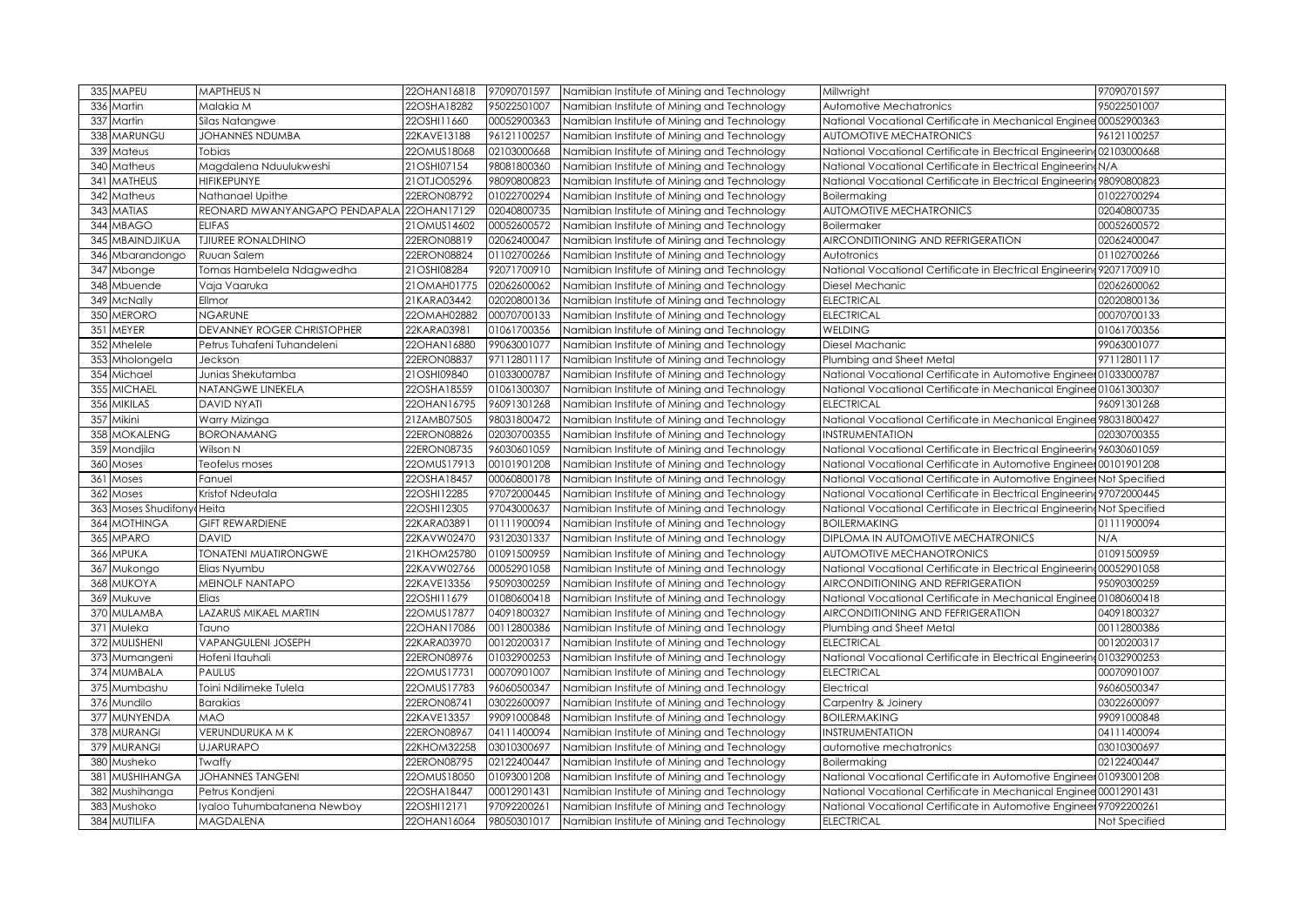| MAPEU<br>335                      | MAPTHEUS N                    | 22OHAN16818 | 97090701597 | Namibian Institute of Mining and Technology | Millwright                                                              | 97090701597   |
|-----------------------------------|-------------------------------|-------------|-------------|---------------------------------------------|-------------------------------------------------------------------------|---------------|
| 336<br>Martin                     | Malakia M                     | 22OSHA18282 | 95022501007 | Namibian Institute of Mining and Technology | Automotive Mechatronics                                                 | 95022501007   |
| 337<br>Martin                     | Silas Natangwe                | 22OSHI11660 | 00052900363 | Namibian Institute of Mining and Technology | National Vocational Certificate in Mechanical Enginee 00052900363       |               |
| MARUNGU<br>338                    | JOHANNES NDUMBA               | 22KAVE13188 | 96121100257 | Namibian Institute of Mining and Technology | <b>AUTOMOTIVE MECHATRONICS</b>                                          | 96121100257   |
| 339<br>Mateus                     | Tobias                        | 22OMUS18068 | 02103000668 | Namibian Institute of Mining and Technology | National Vocational Certificate in Electrical Engineering02103000668    |               |
| 34C<br>Matheus                    | Magdalena Nduulukweshi        | 21OSHI07154 | 98081800360 | Namibian Institute of Mining and Technology | National Vocational Certificate in Electrical Engineering N/A           |               |
| <b>MATHEUS</b><br>34 <sup>°</sup> | <b>HIFIKEPUNYE</b>            | 21OTJO05296 | 98090800823 | Namibian Institute of Mining and Technology | National Vocational Certificate in Electrical Engineering 98090800823   |               |
| 342<br>Matheus                    | Nathanael Upithe              | 22ERON08792 | 01022700294 | Namibian Institute of Mining and Technology | <b>Boilermaking</b>                                                     | 01022700294   |
| <b>MATIAS</b><br>343              | REONARD MWANYANGAPO PENDAPALA | 22OHAN17129 | 02040800735 | Namibian Institute of Mining and Technology | AUTOMOTIVE MECHATRONICS                                                 | 02040800735   |
| 344<br><b>MBAGO</b>               | <b>ELIFAS</b>                 | 21OMUS14602 | 00052600572 | Namibian Institute of Mining and Technology | <b>Boilermaker</b>                                                      | 00052600572   |
| MBAINDJIKUA<br>345                | <b>TJIUREE RONALDHINO</b>     | 22ERON08819 | 02062400047 | Namibian Institute of Mining and Technology | AIRCONDITIONING AND REFRIGERATION                                       | 02062400047   |
| 346<br>Mbarandongo                | Ruuan Salem                   | 22ERON08824 | 01102700266 | Namibian Institute of Mining and Technology | Autotronics                                                             | 01102700266   |
| 347<br>Mbonge                     | Tomas Hambelela Ndagwedha     | 21OSHI08284 | 92071700910 | Namibian Institute of Mining and Technology | National Vocational Certificate in Electrical Engineering 92071700910   |               |
| 348<br>Mbuende                    | Vaia Vaaruka                  | 21OMAH01775 | 02062600062 | Namibian Institute of Mining and Technology | Diesel Mechanic                                                         | 02062600062   |
| McNally<br>349                    | Ellmor                        | 21KARA03442 | 02020800136 | Namibian Institute of Mining and Technology | <b>ELECTRICAL</b>                                                       | 02020800136   |
| 350<br><b>MERORO</b>              | <b>NGARUNE</b>                | 22OMAH02882 | 00070700133 | Namibian Institute of Mining and Technology | <b>ELECTRICAL</b>                                                       | 00070700133   |
| MEYER<br>351                      | DEVANNEY ROGER CHRISTOPHER    | 22KARA03981 | 01061700356 | Namibian Institute of Mining and Technology | <b>WELDING</b>                                                          | 01061700356   |
| 352<br>Mhelele                    | Petrus Tuhafeni Tuhandeleni   | 22OHAN16880 | 99063001077 | Namibian Institute of Mining and Technology | Diesel Machanic                                                         | 99063001077   |
| Mholongela<br>353                 | Jeckson                       | 22ERON08837 | 97112801117 | Namibian Institute of Mining and Technology | Plumbing and Sheet Metal                                                | 97112801117   |
| 354 Michael                       | Junias Shekutamba             | 21OSHI09840 | 01033000787 | Namibian Institute of Mining and Technology | National Vocational Certificate in Automotive Engineer 01033000787      |               |
| <b>MICHAEL</b><br>355             | NATANGWE LINEKELA             | 22OSHA18559 | 01061300307 | Namibian Institute of Mining and Technology | National Vocational Certificate in Mechanical Enginee 01061300307       |               |
| <b>MIKILAS</b><br>356             | <b>DAVID NYATI</b>            | 22OHAN16795 | 96091301268 | Namibian Institute of Mining and Technology | <b>ELECTRICAL</b>                                                       | 96091301268   |
| Mikini<br>357                     | Warry Mizinga                 | 21ZAMB07505 | 98031800472 | Namibian Institute of Mining and Technology | National Vocational Certificate in Mechanical Enginee 98031800427       |               |
| <b>MOKALENG</b><br>358            | <b>BORONAMANG</b>             | 22ERON08826 | 02030700355 | Namibian Institute of Mining and Technology | <b>INSTRUMENTATION</b>                                                  | 02030700355   |
| Mondjila<br>359                   | Wilson N                      | 22ERON08735 | 96030601059 | Namibian Institute of Mining and Technology | National Vocational Certificate in Electrical Engineering 96030601059   |               |
| 360<br>Moses                      | Teofelus moses                | 22OMUS17913 | 00101901208 | Namibian Institute of Mining and Technology | National Vocational Certificate in Automotive Engineer 00101901208      |               |
| 361<br>Moses                      | Fanuel                        | 22OSHA18457 | 00060800178 | Namibian Institute of Mining and Technology | National Vocational Certificate in Automotive Engineer Not Specified    |               |
| 362<br>Moses                      | Kristof Ndeutala              | 22OSHI12285 | 97072000445 | Namibian Institute of Mining and Technology | National Vocational Certificate in Electrical Engineering 97072000445   |               |
| Moses Shudifony Heita<br>363      |                               | 22OSHI12305 | 97043000637 | Namibian Institute of Mining and Technology | National Vocational Certificate in Electrical Engineering Not Specified |               |
| <b>MOTHINGA</b><br>364            | <b>GIFT REWARDIENE</b>        | 22KARA03891 | 01111900094 | Namibian Institute of Mining and Technology | <b>BOILERMAKING</b>                                                     | 01111900094   |
| <b>MPARO</b><br>365               | <b>DAVID</b>                  | 22KAVW02470 | 93120301337 | Namibian Institute of Mining and Technology | DIPLOMA IN AUTOMOTIVE MECHATRONICS                                      | N/A           |
| <b>MPUKA</b><br>366               | <b>TONATENI MUATIRONGWE</b>   | 21KHOM25780 | 01091500959 | Namibian Institute of Mining and Technology | AUTOMOTIVE MECHANOTRONICS                                               | 01091500959   |
| 367<br>Mukongo                    | Elias Nyumbu                  | 22KAVW02766 | 00052901058 | Namibian Institute of Mining and Technology | National Vocational Certificate in Electrical Engineering 00052901058   |               |
| 368 MUKOYA                        | MEINOLF NANTAPO               | 22KAVE13356 | 95090300259 | Namibian Institute of Mining and Technology | AIRCONDITIONING AND REFRIGERATION                                       | 95090300259   |
| 369 Mukuve                        | Elias                         | 22OSHI11679 | 01080600418 | Namibian Institute of Mining and Technology | National Vocational Certificate in Mechanical Enginee 01080600418       |               |
| 370 MULAMBA                       | LAZARUS MIKAEL MARTIN         | 22OMUS17877 | 04091800327 | Namibian Institute of Mining and Technology | AIRCONDITIONING AND FEFRIGERATION                                       | 04091800327   |
| Muleka<br>371                     | Tauno                         | 22OHAN17086 | 00112800386 | Namibian Institute of Mining and Technology | Plumbing and Sheet Metal                                                | 00112800386   |
| MULISHENI<br>372                  | <b>VAPANGULENI JOSEPH</b>     | 22KARA03970 | 00120200317 | Namibian Institute of Mining and Technology | <b>ELECTRICAL</b>                                                       | 00120200317   |
| 373 Mumangeni                     | Hofeni Itauhali               | 22ERON08976 | 01032900253 | Namibian Institute of Mining and Technology | National Vocational Certificate in Electrical Engineering01032900253    |               |
| 374 MUMBALA                       | <b>PAULUS</b>                 | 22OMUS17731 | 00070901007 | Namibian Institute of Mining and Technology | <b>ELECTRICAL</b>                                                       | 00070901007   |
| 375 Mumbashu                      | Toini Ndilimeke Tulela        | 22OMUS17783 | 96060500347 | Namibian Institute of Mining and Technology | Electrical                                                              | 96060500347   |
| 376 Mundilo                       | Barakias                      | 22ERON08741 | 03022600097 | Namibian Institute of Mining and Technology | Carpentry & Joinery                                                     | 03022600097   |
| MUNYENDA<br>377                   | <b>MAO</b>                    | 22KAVE13357 | 99091000848 | Namibian Institute of Mining and Technology | <b>BOILERMAKING</b>                                                     | 99091000848   |
| 378 MURANGI                       | <b>VERUNDURUKA M K</b>        | 22ERON08967 | 04111400094 | Namibian Institute of Mining and Technology | <b>INSTRUMENTATION</b>                                                  | 04111400094   |
| <b>MURANGI</b><br>379             | <b>UJARURAPO</b>              | 22KHOM32258 | 03010300697 | Namibian Institute of Mining and Technology | automotive mechatronics                                                 | 03010300697   |
| Musheko<br>380                    | Twaffy                        | 22ERON08795 | 02122400447 | Namibian Institute of Mining and Technology | Boilermaking                                                            | 02122400447   |
| <b>MUSHIHANGA</b><br>381          | <b>JOHANNES TANGENI</b>       | 22OMUS18050 | 01093001208 | Namibian Institute of Mining and Technology | National Vocational Certificate in Automotive Engineer 01093001208      |               |
| 382<br>Mushihanga                 | Petrus Kondjeni               | 22OSHA18447 | 00012901431 | Namibian Institute of Mining and Technology | National Vocational Certificate in Mechanical Enginee 00012901431       |               |
| 383<br>Mushoko                    | lyaloo Tuhumbatanena Newboy   | 22OSHI12171 | 97092200261 | Namibian Institute of Mining and Technology | National Vocational Certificate in Automotive Engineer 97092200261      |               |
| 384 MUTILIFA                      | MAGDALENA                     | 22OHAN16064 | 98050301017 | Namibian Institute of Mining and Technology | <b>ELECTRICAL</b>                                                       | Not Specified |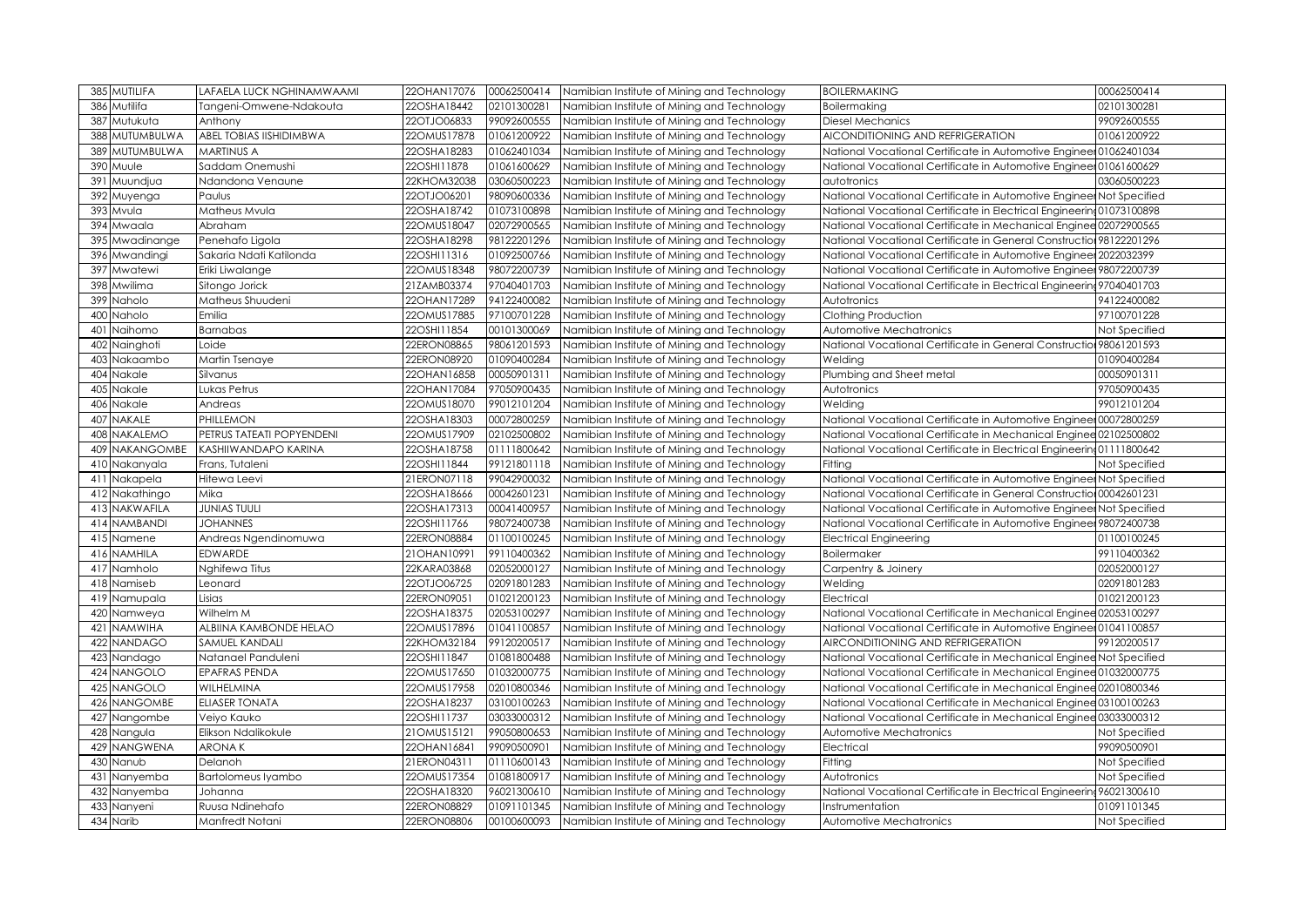| 385 MUTILIFA             | LAFAELA LUCK NGHINAMWAAMI   | 22OHAN17076 | 00062500414 | Namibian Institute of Mining and Technology | <b>BOILERMAKING</b>                                                   | 00062500414   |
|--------------------------|-----------------------------|-------------|-------------|---------------------------------------------|-----------------------------------------------------------------------|---------------|
| 386<br>Mutilifa          | Tangeni-Omwene-Ndakouta     | 22OSHA18442 | 02101300281 | Namibian Institute of Mining and Technology | Boilermaking                                                          | 02101300281   |
| Mutukuta<br>387          | Anthony                     | 22OTJO06833 | 99092600555 | Namibian Institute of Mining and Technology | <b>Diesel Mechanics</b>                                               | 99092600555   |
| <b>MUTUMBULWA</b><br>388 | ABEL TOBIAS IISHIDIMBWA     | 22OMUS17878 | 01061200922 | Namibian Institute of Mining and Technology | AICONDITIONING AND REFRIGERATION                                      | 01061200922   |
| MUTUMBULWA<br>389        | <b>MARTINUS A</b>           | 22OSHA18283 | 01062401034 | Namibian Institute of Mining and Technology | National Vocational Certificate in Automotive Engineer 01062401034    |               |
| 390<br>Muule             | Saddam Onemushi             | 22OSHI11878 | 01061600629 | Namibian Institute of Mining and Technology | National Vocational Certificate in Automotive Engineer 01061600629    |               |
| 391<br>Muundjua          | Ndandona Venaune            | 22KHOM32038 | 03060500223 | Namibian Institute of Mining and Technology | autotronics                                                           | 03060500223   |
| 392<br>Muyenga           | Paulus                      | 22OTJO06201 | 98090600336 | Namibian Institute of Mining and Technology | National Vocational Certificate in Automotive Engineer Not Specified  |               |
| Mvula<br>393             | Matheus Mvula               | 22OSHA18742 | 01073100898 | Namibian Institute of Mining and Technology | National Vocational Certificate in Electrical Engineering01073100898  |               |
| 394<br>Mwaala            | Abraham                     | 22OMUS18047 | 02072900565 | Namibian Institute of Mining and Technology | National Vocational Certificate in Mechanical Enginee 02072900565     |               |
| 395 Mwadinange           | Penehafo Ligola             | 22OSHA18298 | 98122201296 | Namibian Institute of Mining and Technology | National Vocational Certificate in General Construction 98122201296   |               |
| 396 Mwandingi            | Sakaria Ndati Katilonda     | 22OSHI11316 | 01092500766 | Namibian Institute of Mining and Technology | National Vocational Certificate in Automotive Engineer 2022032399     |               |
| 397<br>Mwatewi           | Eriki Liwalange             | 22OMUS18348 | 98072200739 | Namibian Institute of Mining and Technology | National Vocational Certificate in Automotive Engineer 98072200739    |               |
| 398 Mwilima              | Sitongo Jorick              | 21ZAMB03374 | 97040401703 | Namibian Institute of Mining and Technology | National Vocational Certificate in Electrical Engineering 97040401703 |               |
| 399 Naholo               | Matheus Shuudeni            | 22OHAN17289 | 94122400082 | Namibian Institute of Mining and Technology | Autotronics                                                           | 94122400082   |
| 400<br>Naholo            | Emilia                      | 22OMUS17885 | 97100701228 | Namibian Institute of Mining and Technology | Clothing Production                                                   | 97100701228   |
| 401<br>Naihomo           | Barnabas                    | 22OSHI11854 | 00101300069 | Namibian Institute of Mining and Technology | Automotive Mechatronics                                               | Not Specified |
| 402 Nainghoti            | Loide                       | 22ERON08865 | 98061201593 | Namibian Institute of Mining and Technology | National Vocational Certificate in General Construction 98061201593   |               |
| 403<br>Nakaambo          | Martin Tsenaye              | 22ERON08920 | 01090400284 | Namibian Institute of Mining and Technology | Welding                                                               | 01090400284   |
| 404 Nakale               | Silvanus                    | 22OHAN16858 | 00050901311 | Namibian Institute of Mining and Technology | Plumbing and Sheet metal                                              | 00050901311   |
| Nakale<br>405            | Lukas Petrus                | 22OHAN17084 | 97050900435 | Namibian Institute of Mining and Technology | Autotronics                                                           | 97050900435   |
| 406 Nakale               | Andreas                     | 22OMUS18070 | 99012101204 | Namibian Institute of Mining and Technology | Welding                                                               | 99012101204   |
| <b>NAKALE</b><br>407     | PHILLEMON                   | 22OSHA18303 | 00072800259 | Namibian Institute of Mining and Technology | National Vocational Certificate in Automotive Engineer 00072800259    |               |
| 408 NAKALEMO             | PETRUS TATEATI POPYENDENI   | 22OMUS17909 | 02102500802 | Namibian Institute of Mining and Technology | National Vocational Certificate in Mechanical Enginee 02102500802     |               |
| <b>409 NAKANGOMBE</b>    | <b>KASHIIWANDAPO KARINA</b> | 22OSHA18758 | 01111800642 | Namibian Institute of Mining and Technology | National Vocational Certificate in Electrical Engineering 01111800642 |               |
| 410 Nakanyala            | Frans, Tutaleni             | 22OSHI11844 | 99121801118 | Namibian Institute of Mining and Technology | Fitting                                                               | Not Specified |
| 411 Nakapela             | Hitewa Leevi                | 21ERON07118 | 99042900032 | Namibian Institute of Mining and Technology | National Vocational Certificate in Automotive Engineer Not Specified  |               |
| 412 Nakathingo           | Mika                        | 22OSHA18666 | 00042601231 | Namibian Institute of Mining and Technology | National Vocational Certificate in General Construction 00042601231   |               |
| 413 NAKWAFILA            | <b>JUNIAS TUULI</b>         | 22OSHA17313 | 00041400957 | Namibian Institute of Mining and Technology | National Vocational Certificate in Automotive Engineer Not Specified  |               |
| 414 NAMBANDI             | <b>JOHANNES</b>             | 22OSHI11766 | 98072400738 | Namibian Institute of Mining and Technology | National Vocational Certificate in Automotive Engineer 98072400738    |               |
| 415 Namene               | Andreas Ngendinomuwa        | 22ERON08884 | 01100100245 | Namibian Institute of Mining and Technology | <b>Electrical Engineering</b>                                         | 01100100245   |
| 416 NAMHILA              | <b>EDWARDE</b>              | 21OHAN10991 | 99110400362 | Namibian Institute of Mining and Technology | Boilermaker                                                           | 99110400362   |
| 417 Namholo              | Nghifewa Titus              | 22KARA03868 | 02052000127 | Namibian Institute of Mining and Technology | Carpentry & Joinery                                                   | 02052000127   |
| 418 Namiseb              | Leonard                     | 22OTJO06725 | 02091801283 | Namibian Institute of Mining and Technology | Welding                                                               | 02091801283   |
| 419 Namupala             | Lisias                      | 22ERON09051 | 01021200123 | Namibian Institute of Mining and Technology | Electrical                                                            | 01021200123   |
| 420 Namweya              | Wilhelm M                   | 22OSHA18375 | 02053100297 | Namibian Institute of Mining and Technology | National Vocational Certificate in Mechanical Enginee 02053100297     |               |
| <b>NAMWIHA</b><br>421    | ALBIINA KAMBONDE HELAO      | 22OMUS17896 | 01041100857 | Namibian Institute of Mining and Technology | National Vocational Certificate in Automotive Engineer 01041100857    |               |
| 422 NANDAGO              | <b>SAMUEL KANDALI</b>       | 22KHOM32184 | 99120200517 | Namibian Institute of Mining and Technology | AIRCONDITIONING AND REFRIGERATION                                     | 99120200517   |
| 423 Nandago              | Natanael Panduleni          | 22OSHI11847 | 01081800488 | Namibian Institute of Mining and Technology | National Vocational Certificate in Mechanical Enginee Not Specified   |               |
| 424 NANGOLO              | <b>EPAFRAS PENDA</b>        | 22OMUS17650 | 01032000775 | Namibian Institute of Mining and Technology | National Vocational Certificate in Mechanical Enginee 01032000775     |               |
| 425 NANGOLO              | WILHELMINA                  | 22OMUS17958 | 02010800346 | Namibian Institute of Mining and Technology | National Vocational Certificate in Mechanical Enginee 02010800346     |               |
| 426 NANGOMBE             | <b>ELIASER TONATA</b>       | 22OSHA18237 | 03100100263 | Namibian Institute of Mining and Technology | National Vocational Certificate in Mechanical Enginee 03100100263     |               |
| 427 Nangombe             | Veiyo Kauko                 | 22OSHI11737 | 03033000312 | Namibian Institute of Mining and Technology | National Vocational Certificate in Mechanical Enginee 03033000312     |               |
| 428 Nangula              | Elikson Ndalikokule         | 21OMUS15121 | 99050800653 | Namibian Institute of Mining and Technology | Automotive Mechatronics                                               | Not Specified |
| 429 NANGWENA             | <b>ARONAK</b>               | 22OHAN16841 | 99090500901 | Namibian Institute of Mining and Technology | Electrical                                                            | 99090500901   |
| 430 Nanub                | Delanoh                     | 21ERON04311 | 01110600143 | Namibian Institute of Mining and Technology | Fitting                                                               | Not Specified |
| 431 Nanyemba             | <b>Bartolomeus Iyambo</b>   | 22OMUS17354 | 01081800917 | Namibian Institute of Mining and Technology | Autotronics                                                           | Not Specified |
| 432 Nanyemba             | Johanna                     | 22OSHA18320 | 96021300610 | Namibian Institute of Mining and Technology | National Vocational Certificate in Electrical Engineering 96021300610 |               |
| 433 Nanyeni              | Ruusa Ndinehafo             | 22ERON08829 | 01091101345 | Namibian Institute of Mining and Technology | Instrumentation                                                       | 01091101345   |
| 434 Narib                | Manfredt Notani             | 22ERON08806 | 00100600093 | Namibian Institute of Mining and Technology | Automotive Mechatronics                                               | Not Specified |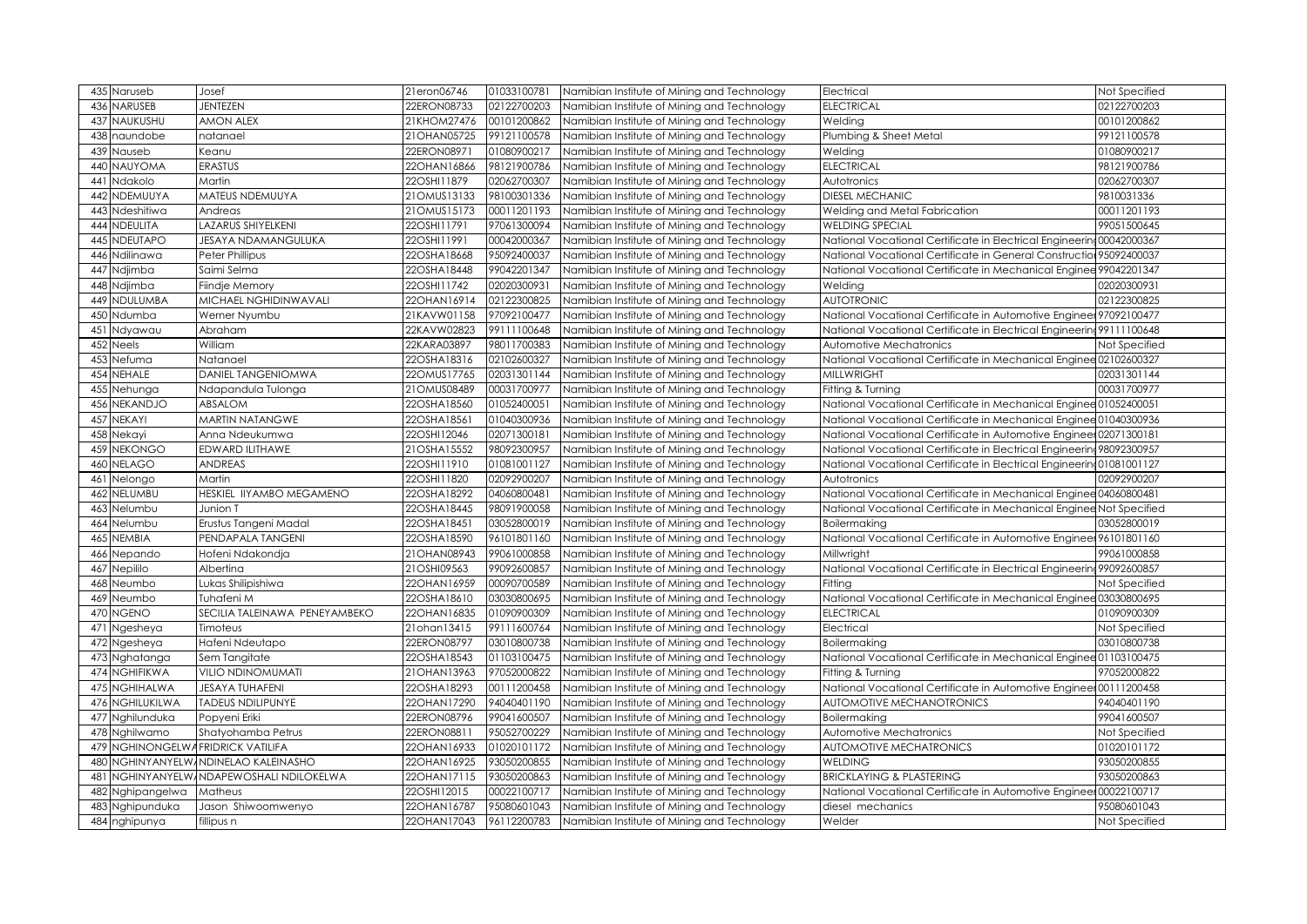| 435 Naruseb                       | Josef                         | 21eron06746   | 01033100781 | Namibian Institute of Mining and Technology                                                | Electrical                                                            | Not Specified |
|-----------------------------------|-------------------------------|---------------|-------------|--------------------------------------------------------------------------------------------|-----------------------------------------------------------------------|---------------|
| NARUSEB<br>436                    | <b>JENTEZEN</b>               | 22ERON08733   | 02122700203 | Namibian Institute of Mining and Technology                                                | <b>ELECTRICAL</b>                                                     | 02122700203   |
| NAUKUSHU<br>437                   | <b>AMON ALEX</b>              | 21KHOM27476   | 00101200862 | Namibian Institute of Mining and Technology                                                | Welding                                                               | 00101200862   |
| 438<br>naundobe                   | natanael                      | 21OHAN05725   | 99121100578 | Namibian Institute of Mining and Technology                                                | Plumbing & Sheet Metal                                                | 99121100578   |
| 439                               | Keanu                         | 22ERON08971   | 01080900217 |                                                                                            |                                                                       | 01080900217   |
| Nauseb<br><b>NAUYOMA</b><br>440   | <b>ERASTUS</b>                | 22OHAN16866   | 98121900786 | Namibian Institute of Mining and Technology<br>Namibian Institute of Mining and Technology | Welding<br><b>ELECTRICAL</b>                                          | 98121900786   |
| Ndakolo<br>441                    | Martin                        | 22OSHI11879   | 02062700307 | Namibian Institute of Mining and Technology                                                | Autotronics                                                           | 02062700307   |
|                                   |                               |               |             |                                                                                            |                                                                       |               |
| NDEMUUYA<br>442                   | MATEUS NDEMUUYA               | 21OMUS13133   | 98100301336 | Namibian Institute of Mining and Technology                                                | <b>DIESEL MECHANIC</b>                                                | 9810031336    |
| Ndeshitiwa<br>443                 | Andreas                       | 21OMUS15173   | 00011201193 | Namibian Institute of Mining and Technology                                                | Welding and Metal Fabrication                                         | 00011201193   |
| <b>NDEULITA</b><br>444            | LAZARUS SHIYELKENI            | 22OSHI11791   | 97061300094 | Namibian Institute of Mining and Technology                                                | <b>WELDING SPECIAL</b>                                                | 99051500645   |
| NDEUTAPO<br>445                   | <b>JESAYA NDAMANGULUKA</b>    | 22OSHI11991   | 00042000367 | Namibian Institute of Mining and Technology                                                | National Vocational Certificate in Electrical Engineering 00042000367 |               |
| Ndilinawa<br>446                  | Peter Phillipus               | 22OSHA18668   | 95092400037 | Namibian Institute of Mining and Technology                                                | National Vocational Certificate in General Construction 95092400037   |               |
| Ndjimba<br>447                    | Saimi Selma                   | 22OSHA18448   | 99042201347 | Namibian Institute of Mining and Technology                                                | National Vocational Certificate in Mechanical Enginee 99042201347     |               |
| 448<br>Ndjimba                    | Fiindje Memory                | 22OSHI11742   | 02020300931 | Namibian Institute of Mining and Technology                                                | Welding                                                               | 02020300931   |
| NDULUMBA<br>449                   | MICHAEL NGHIDINWAVALI         | 22OHAN16914   | 02122300825 | Namibian Institute of Mining and Technology                                                | <b>AUTOTRONIC</b>                                                     | 02122300825   |
| 450<br>Ndumba                     | Werner Nyumbu                 | 21KAVW01158   | 97092100477 | Namibian Institute of Mining and Technology                                                | National Vocational Certificate in Automotive Engineer 97092100477    |               |
| 451<br>Ndyawau                    | Abraham                       | 22KAVW02823   | 99111100648 | Namibian Institute of Mining and Technology                                                | National Vocational Certificate in Electrical Engineering 99111100648 |               |
| 452<br><b>Neels</b>               | William                       | 22KARA03897   | 98011700383 | Namibian Institute of Mining and Technology                                                | Automotive Mechatronics                                               | Not Specified |
| 453<br>Nefuma                     | Natanael                      | 22OSHA18316   | 02102600327 | Namibian Institute of Mining and Technology                                                | National Vocational Certificate in Mechanical Enginee 02102600327     |               |
| 454 NEHALE                        | <b>DANIEL TANGENIOMWA</b>     | 22OMUS17765   | 02031301144 | Namibian Institute of Mining and Technology                                                | <b>MILLWRIGHT</b>                                                     | 02031301144   |
| Nehunga<br>455                    | Ndapandula Tulonga            | 21OMUS08489   | 00031700977 | Namibian Institute of Mining and Technology                                                | Fitting & Turning                                                     | 00031700977   |
| <b>NEKANDJO</b><br>456            | ABSALOM                       | 22OSHA18560   | 01052400051 | Namibian Institute of Mining and Technology                                                | National Vocational Certificate in Mechanical Enginee 01052400051     |               |
| 457<br><b>NEKAYI</b>              | <b>MARTIN NATANGWE</b>        | 22OSHA18561   | 01040300936 | Namibian Institute of Mining and Technology                                                | National Vocational Certificate in Mechanical Enginee 01040300936     |               |
| 458<br>Nekayi                     | Anna Ndeukumwa                | 22OSHI12046   | 02071300181 | Namibian Institute of Mining and Technology                                                | National Vocational Certificate in Automotive Engineer 02071300181    |               |
| <b>NEKONGO</b><br>459             | EDWARD ILITHAWE               | 21OSHA15552   | 98092300957 | Namibian Institute of Mining and Technology                                                | National Vocational Certificate in Electrical Engineering 98092300957 |               |
| 460 NELAGO                        | ANDREAS                       | 22OSHI11910   | 01081001127 | Namibian Institute of Mining and Technology                                                | National Vocational Certificate in Electrical Engineering01081001127  |               |
| Nelongo<br>461                    | Martin                        | 22OSHI11820   | 02092900207 | Namibian Institute of Mining and Technology                                                | Autotronics                                                           | 02092900207   |
| NELUMBU<br>462                    | HESKIEL IIYAMBO MEGAMENO      | 22OSHA18292   | 04060800481 | Namibian Institute of Mining and Technology                                                | National Vocational Certificate in Mechanical Enginee 04060800481     |               |
| 463<br>Nelumbu                    | Junion T                      | 22OSHA18445   | 98091900058 | Namibian Institute of Mining and Technology                                                | National Vocational Certificate in Mechanical Enginee Not Specified   |               |
| 464 Nelumbu                       | Erustus Tangeni Madal         | 22OSHA18451   | 03052800019 | Namibian Institute of Mining and Technology                                                | Boilermaking                                                          | 03052800019   |
| NEMBIA<br>465                     | PENDAPALA TANGENI             | 22OSHA18590   | 96101801160 | Namibian Institute of Mining and Technology                                                | National Vocational Certificate in Automotive Engineer 96101801160    |               |
| 466 Nepando                       | Hofeni Ndakondja              | 21OHAN08943   | 99061000858 | Namibian Institute of Mining and Technology                                                | Millwright                                                            | 99061000858   |
| Nepililo<br>467                   | Albertina                     | 21OSHI09563   | 99092600857 | Namibian Institute of Mining and Technology                                                | National Vocational Certificate in Electrical Engineering 99092600857 |               |
| 468 Neumbo                        | Lukas Shilipishiwa            | 22OHAN16959   | 00090700589 | Namibian Institute of Mining and Technology                                                | Fitting                                                               | Not Specified |
| 469 Neumbo                        | Tuhafeni M                    | 22OSHA18610   | 03030800695 | Namibian Institute of Mining and Technology                                                | National Vocational Certificate in Mechanical Enginee 03030800695     |               |
| 470 NGENO                         | SECILIA TALEINAWA PENEYAMBEKO | 22OHAN16835   | 01090900309 | Namibian Institute of Mining and Technology                                                | <b>ELECTRICAL</b>                                                     | 01090900309   |
| 471<br>Ngesheya                   | Timoteus                      | 21ohan13415   | 99111600764 | Namibian Institute of Mining and Technology                                                | Electrical                                                            | Not Specified |
| 472 Ngesheya                      | Hafeni Ndeutapo               | 22ERON08797   | 03010800738 | Namibian Institute of Mining and Technology                                                | <b>Boilermaking</b>                                                   | 03010800738   |
| 473 Nghatanga                     | Sem Tangitate                 | 22OSHA18543   | 01103100475 | Namibian Institute of Mining and Technology                                                | National Vocational Certificate in Mechanical Enginee 01103100475     |               |
| 474 NGHIFIKWA                     | VILIO NDINOMUMATI             | 21 OHAN 13963 | 97052000822 | Namibian Institute of Mining and Technology                                                | Fitting & Turning                                                     | 97052000822   |
| <b>NGHIHALWA</b><br>475           | <b>JESAYA TUHAFENI</b>        | 22OSHA18293   | 00111200458 | Namibian Institute of Mining and Technology                                                | National Vocational Certificate in Automotive Enginee 00111200458     |               |
| NGHILUKILWA<br>476                | <b>TADEUS NDILIPUNYE</b>      | 22OHAN17290   | 94040401190 | Namibian Institute of Mining and Technology                                                | AUTOMOTIVE MECHANOTRONICS                                             | 94040401190   |
| 477<br>Nghilunduka                | Popyeni Eriki                 | 22ERON08796   | 99041600507 | Namibian Institute of Mining and Technology                                                | Boilermaking                                                          | 99041600507   |
| 478 Nghilwamo                     | Shatyohamba Petrus            | 22ERON08811   | 95052700229 | Namibian Institute of Mining and Technology                                                | Automotive Mechatronics                                               | Not Specified |
| 479 NGHINONGELWAFRIDRICK VATILIFA |                               | 22OHAN16933   | 01020101172 | Namibian Institute of Mining and Technology                                                | <b>AUTOMOTIVE MECHATRONICS</b>                                        | 01020101172   |
| VGHINYANYELW<br>480               | NDINELAO KALEINASHO           | 22OHAN16925   | 93050200855 | Namibian Institute of Mining and Technology                                                | <b>WELDING</b>                                                        | 93050200855   |
| 481<br>VGHINYANYELW               | NDAPEWOSHALI NDILOKELWA       | 22OHAN17115   | 93050200863 | Namibian Institute of Mining and Technology                                                | <b>BRICKLAYING &amp; PLASTERING</b>                                   | 93050200863   |
| 482<br>Nghipangelwa               | Matheus                       | 22OSHI12015   | 00022100717 | Namibian Institute of Mining and Technology                                                | National Vocational Certificate in Automotive Engineer 00022100717    |               |
| 483<br>Nghipunduka                | Jason Shiwoomwenyo            | 22OHAN16787   | 95080601043 | Namibian Institute of Mining and Technology                                                | diesel mechanics                                                      | 95080601043   |
| 484 nghipunya                     | fillipus n                    | 22OHAN17043   | 96112200783 | Namibian Institute of Mining and Technology                                                | Welder                                                                | Not Specified |
|                                   |                               |               |             |                                                                                            |                                                                       |               |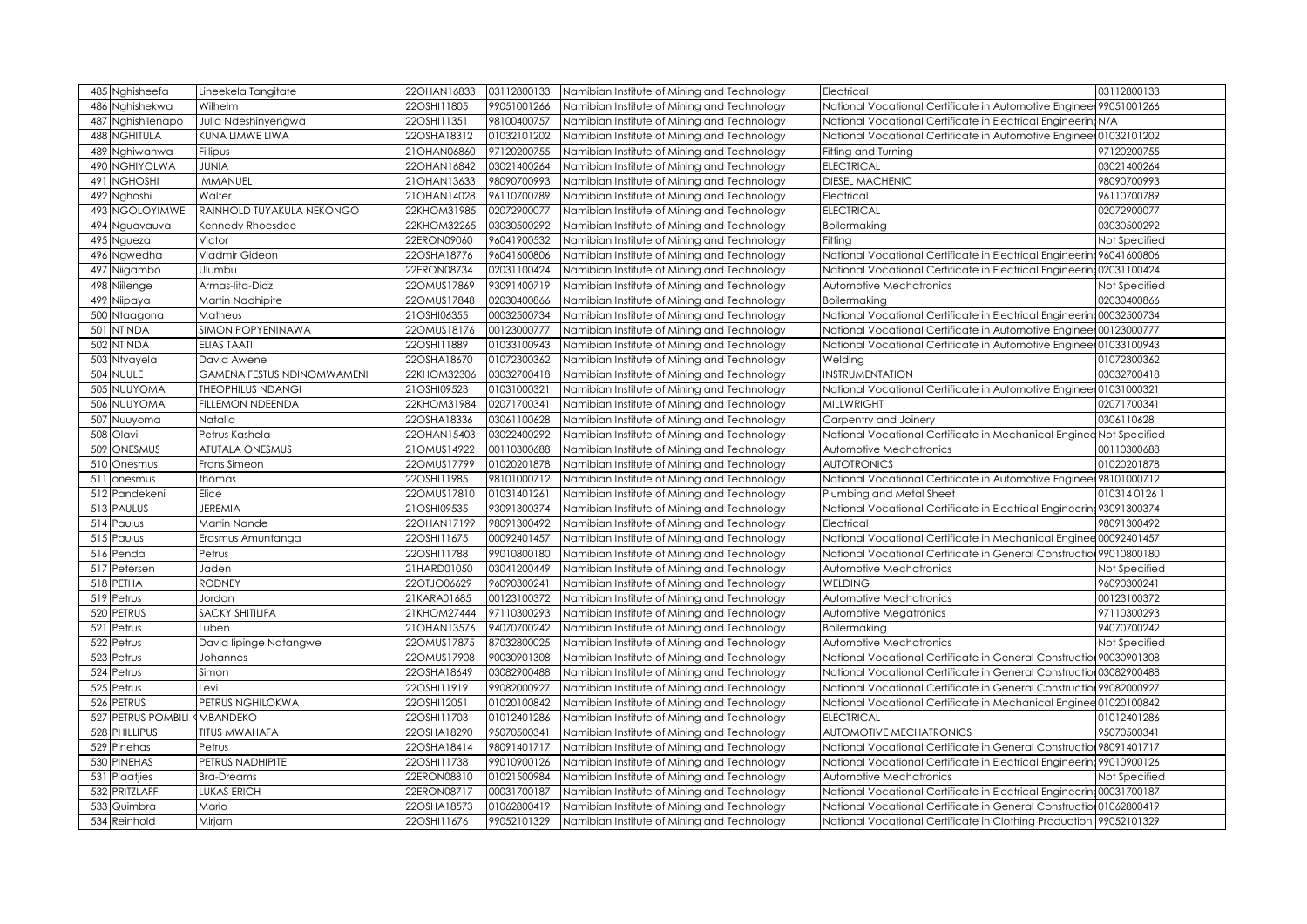| 485 Nghisheefa                  | Lineekela Tangitate               | 22OHAN16833   | 03112800133 | Namibian Institute of Mining and Technology | Electrical                                                            | 03112800133   |
|---------------------------------|-----------------------------------|---------------|-------------|---------------------------------------------|-----------------------------------------------------------------------|---------------|
| 486<br>Nghishekwa               | Wilhelm                           | 22OSHI11805   | 99051001266 | Namibian Institute of Mining and Technology | National Vocational Certificate in Automotive Engineer 99051001266    |               |
| Nghishilenapo<br>487            | Julia Ndeshinyengwa               | 22OSHI11351   | 98100400757 | Namibian Institute of Mining and Technology | National Vocational Certificate in Electrical Engineering N/A         |               |
| <b>NGHITULA</b><br>488          | KUNA LIMWE LIWA                   | 22OSHA18312   | 01032101202 | Namibian Institute of Mining and Technology | National Vocational Certificate in Automotive Engineer 01032101202    |               |
| Nghiwanwa<br>489                | Fillipus                          | 21OHAN06860   | 97120200755 | Namibian Institute of Mining and Technology | Fitting and Turning                                                   | 97120200755   |
| NGHIYOLWA<br>490                | <b>JUNIA</b>                      | 22OHAN16842   | 03021400264 | Namibian Institute of Mining and Technology | <b>ELECTRICAL</b>                                                     | 03021400264   |
| <b>NGHOSHI</b><br>491           | <b>IMMANUEL</b>                   | 21 OHAN 13633 | 98090700993 | Namibian Institute of Mining and Technology | <b>DIESEL MACHENIC</b>                                                | 98090700993   |
| Nghoshi<br>492                  | Walter                            | 21 OHAN 14028 | 96110700789 | Namibian Institute of Mining and Technology | Electrical                                                            | 96110700789   |
| <b>NGOLOYIMWE</b><br>493        | RAINHOLD TUYAKULA NEKONGO         | 22KHOM31985   | 02072900077 | Namibian Institute of Mining and Technology | <b>ELECTRICAL</b>                                                     | 02072900077   |
| 494<br>Nguavauva                | Kennedy Rhoesdee                  | 22KHOM32265   | 03030500292 | Namibian Institute of Mining and Technology | Boilermaking                                                          | 03030500292   |
| 495<br>Ngueza                   | Victor                            | 22ERON09060   | 96041900532 | Namibian Institute of Mining and Technology | Fitting                                                               | Not Specified |
| 496<br>Ngwedha                  | Vladmir Gideon                    | 22OSHA18776   | 96041600806 | Namibian Institute of Mining and Technology | National Vocational Certificate in Electrical Engineerin              | 96041600806   |
| 497<br>Niigambo                 | Ulumbu                            | 22ERON08734   | 02031100424 | Namibian Institute of Mining and Technology | National Vocational Certificate in Electrical Engineering 02031100424 |               |
| 498<br>Niilenge                 | Armas-lita-Diaz                   | 22OMUS17869   | 93091400719 | Namibian Institute of Mining and Technology | Automotive Mechatronics                                               | Not Specified |
| 499 Niipaya                     | Martin Nadhipite                  | 22OMUS17848   | 02030400866 | Namibian Institute of Mining and Technology | Boilermaking                                                          | 02030400866   |
| 500<br>Ntaagona                 | Matheus                           | 21OSHI06355   | 00032500734 | Namibian Institute of Mining and Technology | National Vocational Certificate in Electrical Engineering 00032500734 |               |
| <b>NTINDA</b><br>501            | SIMON POPYENINAWA                 | 22OMUS18176   | 00123000777 | Namibian Institute of Mining and Technology | National Vocational Certificate in Automotive Engineer 00123000777    |               |
| <b>NTINDA</b><br>502            | <b>ELIAS TAATI</b>                | 22OSHI11889   | 01033100943 | Namibian Institute of Mining and Technology | National Vocational Certificate in Automotive Engineer 01033100943    |               |
| Ntyayela<br>503                 | David Awene                       | 22OSHA18670   | 01072300362 | Namibian Institute of Mining and Technology | Welding                                                               | 01072300362   |
| 504 NUULE                       | <b>GAMENA FESTUS NDINOMWAMENI</b> | 22KHOM32306   | 03032700418 | Namibian Institute of Mining and Technology | INSTRUMENTATION                                                       | 03032700418   |
| NUUYOMA<br>505                  | <b>THEOPHILUS NDANGI</b>          | 21OSHI09523   | 01031000321 | Namibian Institute of Mining and Technology | National Vocational Certificate in Automotive Engineer 01031000321    |               |
| 506 NUUYOMA                     | <b>FILLEMON NDEENDA</b>           | 22KHOM31984   | 02071700341 | Namibian Institute of Mining and Technology | <b>MILLWRIGHT</b>                                                     | 02071700341   |
| 507<br>Nuuyoma                  | Natalia                           | 22OSHA18336   | 03061100628 | Namibian Institute of Mining and Technology | Carpentry and Joinery                                                 | 0306110628    |
| 508 Olavi                       | Petrus Kashela                    | 22OHAN15403   | 03022400292 | Namibian Institute of Mining and Technology | National Vocational Certificate in Mechanical Enginee Not Specified   |               |
| ONESMUS<br>509                  | <b>ATUTALA ONESMUS</b>            | 21OMUS14922   | 00110300688 | Namibian Institute of Mining and Technology | Automotive Mechatronics                                               | 00110300688   |
| 510 Onesmus                     | Frans Simeon                      | 22OMUS17799   | 01020201878 | Namibian Institute of Mining and Technology | <b>AUTOTRONICS</b>                                                    | 01020201878   |
| 511<br>onesmus                  | thomas                            | 22OSHI11985   | 98101000712 | Namibian Institute of Mining and Technology | National Vocational Certificate in Automotive Engineer 98101000712    |               |
| 512 Pandekeni                   | Elice                             | 22OMUS17810   | 01031401261 | Namibian Institute of Mining and Technology | Plumbing and Metal Sheet                                              | 01031401261   |
| <b>PAULUS</b><br>513            | <b>JEREMIA</b>                    | 21OSHI09535   | 93091300374 | Namibian Institute of Mining and Technology | National Vocational Certificate in Electrical Engineering 93091300374 |               |
| 514 Paulus                      | Martin Nande                      | 22OHAN17199   | 98091300492 | Namibian Institute of Mining and Technology | Electrical                                                            | 98091300492   |
| 515 Paulus                      | Erasmus Amuntanga                 | 22OSHI11675   | 00092401457 | Namibian Institute of Mining and Technology | National Vocational Certificate in Mechanical Enginee 00092401457     |               |
| 516 Penda                       | Petrus                            | 22OSHI11788   | 99010800180 | Namibian Institute of Mining and Technology | National Vocational Certificate in General Construction 99010800180   |               |
| 517 Petersen                    | Jaden                             | 21HARD01050   | 03041200449 | Namibian Institute of Mining and Technology | Automotive Mechatronics                                               | Not Specified |
| 518 PETHA                       | <b>RODNEY</b>                     | 22OTJO06629   | 96090300241 | Namibian Institute of Mining and Technology | <b>WELDING</b>                                                        | 96090300241   |
| 519 Petrus                      | Jordan                            | 21KARA01685   | 00123100372 | Namibian Institute of Mining and Technology | Automotive Mechatronics                                               | 00123100372   |
| <b>PETRUS</b><br>520            | <b>SACKY SHITILIFA</b>            | 21KHOM27444   | 97110300293 | Namibian Institute of Mining and Technology | Automotive Megatronics                                                | 97110300293   |
| 521<br>Petrus                   | Luben                             | 21OHAN13576   | 94070700242 | Namibian Institute of Mining and Technology | Boilermaking                                                          | 94070700242   |
| 522 Petrus                      | David lipinge Natangwe            | 22OMUS17875   | 87032800025 | Namibian Institute of Mining and Technology | Automotive Mechatronics                                               | Not Specified |
| Petrus<br>523                   | Johannes                          | 22OMUS17908   | 90030901308 | Namibian Institute of Mining and Technology | National Vocational Certificate in General Construction 90030901308   |               |
| 524 Petrus                      | Simon                             | 22OSHA18649   | 03082900488 | Namibian Institute of Mining and Technology | National Vocational Certificate in General Construction 03082900488   |               |
| 525 Petrus                      | Levi                              | 22OSHI11919   | 99082000927 | Namibian Institute of Mining and Technology | National Vocational Certificate in General Construction 99082000927   |               |
| 526 PETRUS                      | PETRUS NGHILOKWA                  | 22OSHI12051   | 01020100842 | Namibian Institute of Mining and Technology | National Vocational Certificate in Mechanical Enginee 01020100842     |               |
| PETRUS POMBILI KMBANDEKO<br>527 |                                   | 22OSHI11703   | 01012401286 | Namibian Institute of Mining and Technology | <b>ELECTRICAL</b>                                                     | 01012401286   |
| 528 PHILLIPUS                   | <b>TITUS MWAHAFA</b>              | 22OSHA18290   | 95070500341 | Namibian Institute of Mining and Technology | <b>AUTOMOTIVE MECHATRONICS</b>                                        | 95070500341   |
| 529 Pinehas                     | Petrus                            | 22OSHA18414   | 98091401717 | Namibian Institute of Mining and Technology | National Vocational Certificate in General Construction 98091401717   |               |
| 530 PINEHAS                     | PETRUS NADHIPITE                  | 22OSHI11738   | 99010900126 | Namibian Institute of Mining and Technology | National Vocational Certificate in Electrical Engineering 99010900126 |               |
| 531 Plaatjies                   | <b>Bra-Dreams</b>                 | 22ERON08810   | 01021500984 | Namibian Institute of Mining and Technology | Automotive Mechatronics                                               | Not Specified |
| 532 PRITZLAFF                   | <b>LUKAS ERICH</b>                | 22ERON08717   | 00031700187 | Namibian Institute of Mining and Technology | National Vocational Certificate in Electrical Engineering 00031700187 |               |
| 533 Quimbra                     | Mario                             | 22OSHA18573   | 01062800419 | Namibian Institute of Mining and Technology | National Vocational Certificate in General Construction01062800419    |               |
| 534 Reinhold                    | Mirjam                            | 22OSHI11676   | 99052101329 | Namibian Institute of Mining and Technology | National Vocational Certificate in Clothing Production 99052101329    |               |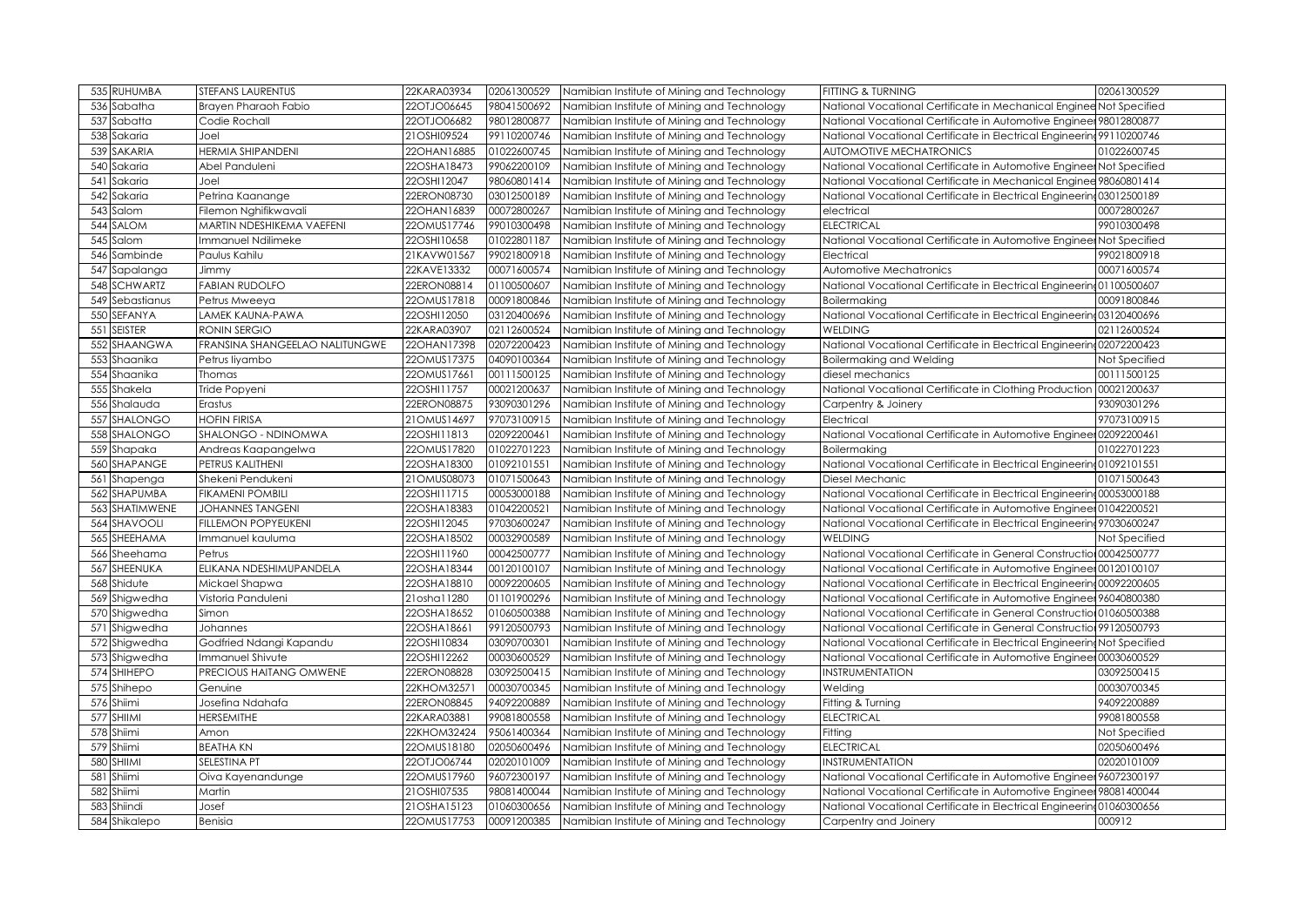| 535 RUHUMBA           | <b>STEFANS LAURENTUS</b>       | 22KARA03934   | 02061300529 | Namibian Institute of Mining and Technology | FITTING & TURNING                                                       | 02061300529   |
|-----------------------|--------------------------------|---------------|-------------|---------------------------------------------|-------------------------------------------------------------------------|---------------|
| 536<br>Sabatha        | Brayen Pharaoh Fabio           | 22OTJO06645   | 98041500692 | Namibian Institute of Mining and Technology | National Vocational Certificate in Mechanical Enginee Not Specified     |               |
| 537<br>Sabatta        | Codie Rochall                  | 22OTJO06682   | 98012800877 | Namibian Institute of Mining and Technology | National Vocational Certificate in Automotive Engineer 98012800877      |               |
| 538<br>Sakaria        | Joel                           | 21OSHI09524   | 99110200746 | Namibian Institute of Mining and Technology | National Vocational Certificate in Electrical Engineering 99110200746   |               |
| SAKARIA<br>539        | HERMIA SHIPANDENI              | 22OHAN16885   | 01022600745 | Namibian Institute of Mining and Technology | AUTOMOTIVE MECHATRONICS                                                 | 01022600745   |
| 540<br>Sakaria        | Abel Panduleni                 | 22OSHA18473   | 99062200109 | Namibian Institute of Mining and Technology | National Vocational Certificate in Automotive Engineer Not Specified    |               |
| 541<br>Sakaria        | Joel                           | 22OSHI12047   | 98060801414 | Namibian Institute of Mining and Technology | National Vocational Certificate in Mechanical Enginee 98060801414       |               |
| 542<br>Sakaria        | Petrina Kaanange               | 22ERON08730   | 03012500189 | Namibian Institute of Mining and Technology | National Vocational Certificate in Electrical Engineering 03012500189   |               |
| 543<br>Salom          | Filemon Nghifikwavali          | 22OHAN16839   | 00072800267 | Namibian Institute of Mining and Technology | electrical                                                              | 00072800267   |
| SALOM<br>544          | MARTIN NDESHIKEMA VAEFENI      | 22OMUS17746   | 99010300498 | Namibian Institute of Mining and Technology | <b>ELECTRICAL</b>                                                       | 99010300498   |
| Salom<br>545          | Immanuel Ndilimeke             | 22OSHI10658   | 01022801187 | Namibian Institute of Mining and Technology | National Vocational Certificate in Automotive Engineer Not Specified    |               |
| 546<br>Sambinde       | Paulus Kahilu                  | 21KAVW01567   | 99021800918 | Namibian Institute of Mining and Technology | Electrical                                                              | 99021800918   |
| 547<br>Sapalanga      | Jimmy                          | 22KAVE13332   | 00071600574 | Namibian Institute of Mining and Technology | Automotive Mechatronics                                                 | 00071600574   |
| 548 SCHWARTZ          | <b>FABIAN RUDOLFO</b>          | 22ERON08814   | 01100500607 | Namibian Institute of Mining and Technology | National Vocational Certificate in Electrical Engineering 01100500607   |               |
| 549 Sebastianus       | Petrus Mweeya                  | 22OMUS17818   | 00091800846 | Namibian Institute of Mining and Technology | <b>Boilermaking</b>                                                     | 00091800846   |
| 550 SEFANYA           | <b>LAMEK KAUNA-PAWA</b>        | 22OSHI12050   | 03120400696 | Namibian Institute of Mining and Technology | National Vocational Certificate in Electrical Engineering 03120400696   |               |
| <b>SEISTER</b><br>551 | <b>RONIN SERGIO</b>            | 22KARA03907   | 02112600524 | Namibian Institute of Mining and Technology | <b>WELDING</b>                                                          | 02112600524   |
| 552 SHAANGWA          | FRANSINA SHANGEELAO NALITUNGWE | 22OHAN17398   | 02072200423 | Namibian Institute of Mining and Technology | National Vocational Certificate in Electrical Engineering 02072200423   |               |
| 553<br>Shaanika       | Petrus liyambo                 | 22OMUS17375   | 04090100364 | Namibian Institute of Mining and Technology | <b>Boilermaking and Welding</b>                                         | Not Specified |
| 554 Shaanika          | Thomas                         | 22OMUS17661   | 00111500125 | Namibian Institute of Mining and Technology | diesel mechanics                                                        | 00111500125   |
| 555<br>Shakela        | Tride Popyeni                  | 22OSHI11757   | 00021200637 | Namibian Institute of Mining and Technology | National Vocational Certificate in Clothing Production 00021200637      |               |
| 556 Shalauda          | Erastus                        | 22ERON08875   | 93090301296 | Namibian Institute of Mining and Technology | Carpentry & Joinery                                                     | 93090301296   |
| 557 SHALONGO          | <b>HOFIN FIRISA</b>            | 21 OMUS 14697 | 97073100915 | Namibian Institute of Mining and Technology | Electrical                                                              | 97073100915   |
| 558 SHALONGO          | SHALONGO - NDINOMWA            | 22OSHI11813   | 02092200461 | Namibian Institute of Mining and Technology | National Vocational Certificate in Automotive Engineer 02092200461      |               |
| 559 Shapaka           | Andreas Kaapangelwa            | 22OMUS17820   | 01022701223 | Namibian Institute of Mining and Technology | <b>Boilermaking</b>                                                     | 01022701223   |
| 560 SHAPANGE          | PETRUS KALITHENI               | 22OSHA18300   | 01092101551 | Namibian Institute of Mining and Technology | National Vocational Certificate in Electrical Engineering 01092101551   |               |
| Shapenga<br>561       | Shekeni Pendukeni              | 21OMUS08073   | 01071500643 | Namibian Institute of Mining and Technology | Diesel Mechanic                                                         | 01071500643   |
| 562 SHAPUMBA          | <b>FIKAMENI POMBILI</b>        | 22OSHI11715   | 00053000188 | Namibian Institute of Mining and Technology | National Vocational Certificate in Electrical Engineering 00053000188   |               |
| SHATIMWENE<br>563     | <b>JOHANNES TANGENI</b>        | 22OSHA18383   | 01042200521 | Namibian Institute of Mining and Technology | National Vocational Certificate in Automotive Engineer 01042200521      |               |
| 564 SHAVOOLI          | <b>FILLEMON POPYEUKENI</b>     | 22OSHI12045   | 97030600247 | Namibian Institute of Mining and Technology | National Vocational Certificate in Electrical Engineering 97030600247   |               |
| SHEEHAMA<br>565       | mmanuel kauluma                | 22OSHA18502   | 00032900589 | Namibian Institute of Mining and Technology | <b>WELDING</b>                                                          | Not Specified |
| 566 Sheehama          | Petrus                         | 22OSHI11960   | 00042500777 | Namibian Institute of Mining and Technology | National Vocational Certificate in General Construction 00042500777     |               |
| 567 SHEENUKA          | ELIKANA NDESHIMUPANDELA        | 22OSHA18344   | 00120100107 | Namibian Institute of Mining and Technology | National Vocational Certificate in Automotive Engineer 00120100107      |               |
| 568 Shidute           | Mickael Shapwa                 | 22OSHA18810   | 00092200605 | Namibian Institute of Mining and Technology | National Vocational Certificate in Electrical Engineering 00092200605   |               |
| 569 Shigwedha         | Vistoria Panduleni             | 21osha11280   | 01101900296 | Namibian Institute of Mining and Technology | National Vocational Certificate in Automotive Engineer 96040800380      |               |
| 570 Shigwedha         | Simon                          | 22OSHA18652   | 01060500388 | Namibian Institute of Mining and Technology | National Vocational Certificate in General Construction 01060500388     |               |
| 571 Shigwedha         | Johannes                       | 22OSHA18661   | 99120500793 | Namibian Institute of Mining and Technology | National Vocational Certificate in General Construction 99120500793     |               |
| 572 Shigwedha         | Godfried Ndangi Kapandu        | 22OSHI10834   | 03090700301 | Namibian Institute of Mining and Technology | National Vocational Certificate in Electrical Engineering Not Specified |               |
| 573 Shigwedha         | Immanuel Shivute               | 22OSHI12262   | 00030600529 | Namibian Institute of Mining and Technology | National Vocational Certificate in Automotive Engineer 00030600529      |               |
| 574 SHIHEPO           | PRECIOUS HAITANG OMWENE        | 22ERON08828   | 03092500415 | Namibian Institute of Mining and Technology | <b>INSTRUMENTATION</b>                                                  | 03092500415   |
| 575 Shihepo           | Genuine                        | 22KHOM32571   | 00030700345 | Namibian Institute of Mining and Technology | Welding                                                                 | 00030700345   |
| 576 Shiimi            | Josefina Ndahafa               | 22ERON08845   | 94092200889 | Namibian Institute of Mining and Technology | Fitting & Turning                                                       | 94092200889   |
| 577 SHIIMI            | <b>HERSEMITHE</b>              | 22KARA03881   | 99081800558 | Namibian Institute of Mining and Technology | <b>ELECTRICAL</b>                                                       | 99081800558   |
| 578 Shiimi            |                                | 22KHOM32424   | 95061400364 |                                             |                                                                         |               |
|                       | Amon                           |               |             | Namibian Institute of Mining and Technology | Fitting                                                                 | Not Specified |
| 579 Shiimi            | <b>BEATHA KN</b>               | 220MUS18180   | 02050600496 | Namibian Institute of Mining and Technology | <b>ELECTRICAL</b>                                                       | 02050600496   |
| 580 SHIIMI            | SELESTINA PT                   | 22OTJO06744   | 02020101009 | Namibian Institute of Mining and Technology | <b>INSTRUMENTATION</b>                                                  | 02020101009   |
| 581<br>Shiimi         | Oiva Kayenandunge              | 22OMUS17960   | 96072300197 | Namibian Institute of Mining and Technology | National Vocational Certificate in Automotive Engineer 96072300197      |               |
| 582<br>Shiimi         | Martin                         | 21OSHI07535   | 98081400044 | Namibian Institute of Mining and Technology | National Vocational Certificate in Automotive Engineer 98081400044      |               |
| 583 Shiindi           | Josef                          | 21OSHA15123   | 01060300656 | Namibian Institute of Mining and Technology | National Vocational Certificate in Electrical Engineering 01060300656   |               |
| 584 Shikalepo         | Benisia                        | 22OMUS17753   | 00091200385 | Namibian Institute of Mining and Technology | Carpentry and Joinery                                                   | 000912        |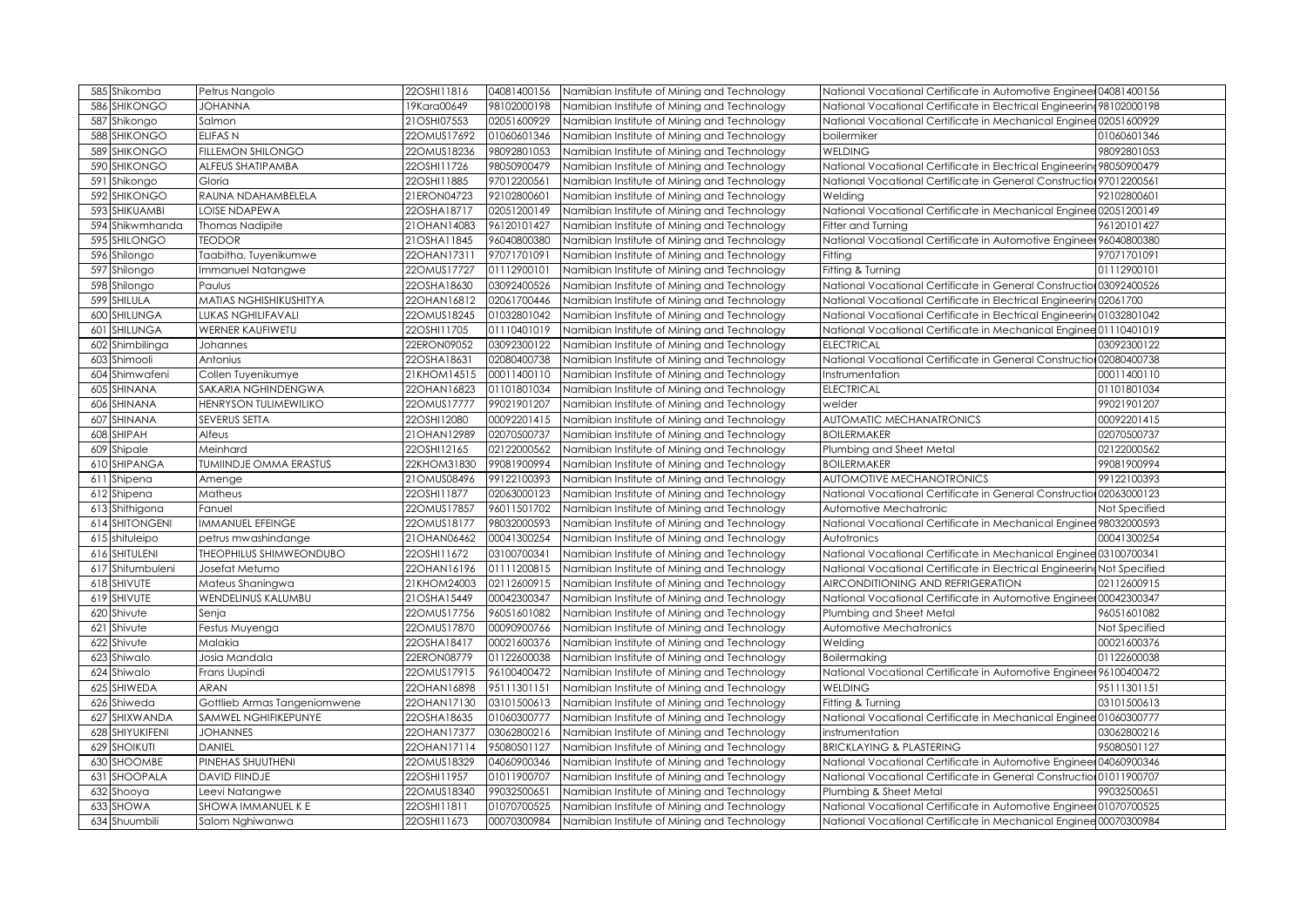| 585 Shikomba           | Petrus Nangolo                | 22OSHI11816   | 04081400156 | Namibian Institute of Mining and Technology | National Vocational Certificate in Automotive Engineer 04081400156      |               |
|------------------------|-------------------------------|---------------|-------------|---------------------------------------------|-------------------------------------------------------------------------|---------------|
| 586<br><b>SHIKONGO</b> | <b>JOHANNA</b>                | 19Kara00649   | 98102000198 | Namibian Institute of Mining and Technology | National Vocational Certificate in Electrical Engineering 98102000198   |               |
| 587 Shikongo           | Salmon                        | 21OSHI07553   | 02051600929 | Namibian Institute of Mining and Technology | National Vocational Certificate in Mechanical Enginee 02051600929       |               |
| 588<br><b>SHIKONGO</b> | ELIFAS N                      | 22OMUS17692   | 01060601346 | Namibian Institute of Mining and Technology | boilermiker                                                             | 01060601346   |
| 589<br>SHIKONGO        | <b>FILLEMON SHILONGO</b>      | 22OMUS18236   | 98092801053 | Namibian Institute of Mining and Technology | <b>WELDING</b>                                                          | 98092801053   |
| 590<br><b>SHIKONGO</b> | ALFEUS SHATIPAMBA             | 22OSHI11726   | 98050900479 | Namibian Institute of Mining and Technology | National Vocational Certificate in Electrical Engineering 98050900479   |               |
| 591<br>Shikongo        | Gloria                        | 22OSHI11885   | 97012200561 | Namibian Institute of Mining and Technology | National Vocational Certificate in General Construction 97012200561     |               |
| 592 SHIKONGO           | RAUNA NDAHAMBELELA            | 21ERON04723   | 92102800601 | Namibian Institute of Mining and Technology | Welding                                                                 | 92102800601   |
| 593 SHIKUAMBI          | LOISE NDAPEWA                 | 22OSHA18717   | 02051200149 | Namibian Institute of Mining and Technology | National Vocational Certificate in Mechanical Enginee 02051200149       |               |
| 594 Shikwmhanda        | <b>Thomas Nadipite</b>        | 21 OHAN 14083 | 96120101427 | Namibian Institute of Mining and Technology | Fitter and Turnina                                                      | 96120101427   |
| 595 SHILONGO           | <b>TEODOR</b>                 | 21OSHA11845   | 96040800380 | Namibian Institute of Mining and Technology | National Vocational Certificate in Automotive Engineer 96040800380      |               |
| 596 Shilongo           | Taabitha, Tuyenikumwe         | 22OHAN17311   | 97071701091 | Namibian Institute of Mining and Technology | Fitting                                                                 | 97071701091   |
| 597 Shilongo           | mmanuel Natangwe              | 22OMUS17727   | 01112900101 | Namibian Institute of Mining and Technology | Fitting & Turning                                                       | 01112900101   |
| 598 Shilongo           | Paulus                        | 22OSHA18630   | 03092400526 | Namibian Institute of Mining and Technology | National Vocational Certificate in General Construction 03092400526     |               |
| 599 SHILULA            | MATIAS NGHISHIKUSHITYA        | 22OHAN16812   | 02061700446 | Namibian Institute of Mining and Technology | National Vocational Certificate in Electrical Engineering 02061700      |               |
| 600 SHILUNGA           | LUKAS NGHILIFAVALI            | 22OMUS18245   | 01032801042 | Namibian Institute of Mining and Technology | National Vocational Certificate in Electrical Engineering 01032801042   |               |
| SHILUNGA<br>601        | <b>WERNER KAUFIWETU</b>       | 22OSHI11705   | 01110401019 | Namibian Institute of Mining and Technology | National Vocational Certificate in Mechanical Enginee 01110401019       |               |
| 602 Shimbilinga        | Johannes                      | 22ERON09052   | 03092300122 | Namibian Institute of Mining and Technology | <b>ELECTRICAL</b>                                                       | 03092300122   |
| Shimooli<br>603        | Antonius                      | 22OSHA18631   | 02080400738 | Namibian Institute of Mining and Technology | National Vocational Certificate in General Construction 02080400738     |               |
| 604 Shimwafeni         | Collen Tuyenikumye            | 21KHOM14515   | 00011400110 | Namibian Institute of Mining and Technology | Instrumentation                                                         | 00011400110   |
| SHINANA<br>605         | SAKARIA NGHINDENGWA           | 22OHAN16823   | 01101801034 | Namibian Institute of Mining and Technology | <b>ELECTRICAL</b>                                                       | 01101801034   |
| SHINANA<br>606         | <b>HENRYSON TULIMEWILIKO</b>  | 22OMUS17777   | 99021901207 | Namibian Institute of Mining and Technology | welder                                                                  | 99021901207   |
| SHINANA<br>607         | SEVERUS SETTA                 | 22OSHI12080   | 00092201415 | Namibian Institute of Mining and Technology | AUTOMATIC MECHANATRONICS                                                | 00092201415   |
| SHIPAH<br>608          | Alfeus                        | 21OHAN12989   | 02070500737 | Namibian Institute of Mining and Technology | <b>BOILERMAKER</b>                                                      | 02070500737   |
| Shipale<br>609         | Meinhard                      | 22OSHI12165   | 02122000562 | Namibian Institute of Mining and Technology | Plumbing and Sheet Metal                                                | 02122000562   |
| 610 SHIPANGA           | <b>TUMIINDJE OMMA ERASTUS</b> | 22KHOM31830   | 99081900994 | Namibian Institute of Mining and Technology | <b>BOILERMAKER</b>                                                      | 99081900994   |
| 611<br>Shipena         | Amenge                        | 21OMUS08496   | 99122100393 | Namibian Institute of Mining and Technology | AUTOMOTIVE MECHANOTRONICS                                               | 99122100393   |
| 612 Shipena            | Matheus                       | 22OSHI11877   | 02063000123 | Namibian Institute of Mining and Technology | National Vocational Certificate in General Construction 02063000123     |               |
| 613 Shithigona         | Fanuel                        | 22OMUS17857   | 96011501702 | Namibian Institute of Mining and Technology | Automotive Mechatronic                                                  | Not Specified |
| 614 SHITONGENI         | IMMANUEL EFEINGE              | 22OMUS18177   | 98032000593 | Namibian Institute of Mining and Technology | National Vocational Certificate in Mechanical Enginee 98032000593       |               |
| 615 shituleipo         | petrus mwashindange           | 21OHAN06462   | 00041300254 | Namibian Institute of Mining and Technology | Autotronics                                                             | 00041300254   |
| 616 SHITULENI          | THEOPHILUS SHIMWEONDUBO       | 22OSHI11672   | 03100700341 | Namibian Institute of Mining and Technology | National Vocational Certificate in Mechanical Enginee 03100700341       |               |
| 617 Shitumbuleni       | Josefat Metumo                | 22OHAN16196   | 01111200815 | Namibian Institute of Mining and Technology | National Vocational Certificate in Electrical Engineering Not Specified |               |
| 618 SHIVUTE            | Mateus Shaningwa              | 21KHOM24003   | 02112600915 | Namibian Institute of Mining and Technology | AIRCONDITIONING AND REFRIGERATION                                       | 02112600915   |
| 619 SHIVUTE            | <b>WENDELINUS KALUMBU</b>     | 21OSHA15449   | 00042300347 | Namibian Institute of Mining and Technology | National Vocational Certificate in Automotive Engineer 00042300347      |               |
| 620 Shivute            | Senja                         | 22OMUS17756   | 96051601082 | Namibian Institute of Mining and Technology | Plumbing and Sheet Metal                                                | 96051601082   |
| Shivute<br>621         | Festus Muyenga                | 22OMUS17870   | 00090900766 | Namibian Institute of Mining and Technology | Automotive Mechatronics                                                 | Not Specified |
| 622 Shivute            | Malakia                       | 22OSHA18417   | 00021600376 | Namibian Institute of Mining and Technology | Welding                                                                 | 00021600376   |
| 623 Shiwalo            | Josia Mandala                 | 22ERON08779   | 01122600038 | Namibian Institute of Mining and Technology | Boilermaking                                                            | 01122600038   |
| 624 Shiwalo            | Frans Uupindi                 | 22OMUS17915   | 96100400472 | Namibian Institute of Mining and Technology | National Vocational Certificate in Automotive Engineer 96100400472      |               |
| 625<br>SHIWEDA         | ARAN                          | 22OHAN16898   | 95111301151 | Namibian Institute of Mining and Technology | <b>WELDING</b>                                                          | 95111301151   |
| 626 Shiweda            | Gottlieb Armas Tangeniomwene  | 22OHAN17130   | 03101500613 | Namibian Institute of Mining and Technology | Fitting & Turning                                                       | 03101500613   |
| 627<br>SHIXWANDA       | SAMWEL NGHIFIKEPUNYE          | 22OSHA18635   | 01060300777 | Namibian Institute of Mining and Technology | National Vocational Certificate in Mechanical Enginee 01060300777       |               |
| 628 SHIYUKIFENI        | <b>JOHANNES</b>               | 22OHAN17377   | 03062800216 | Namibian Institute of Mining and Technology | instrumentation                                                         | 03062800216   |
| <b>629 SHOIKUTI</b>    | <b>DANIEL</b>                 | 22OHAN17114   | 95080501127 | Namibian Institute of Mining and Technology | <b>BRICKLAYING &amp; PLASTERING</b>                                     | 95080501127   |
| 630 SHOOMBE            | PINEHAS SHUUTHENI             | 22OMUS18329   | 04060900346 | Namibian Institute of Mining and Technology | National Vocational Certificate in Automotive Engineer 04060900346      |               |
| SHOOPALA<br>631        | <b>DAVID FIINDJE</b>          | 22OSHI11957   | 01011900707 | Namibian Institute of Mining and Technology | National Vocational Certificate in General Construction01011900707      |               |
| 632 Shooya             | Leevi Natangwe                | 22OMUS18340   | 99032500651 | Namibian Institute of Mining and Technology | Plumbing & Sheet Metal                                                  | 99032500651   |
| <b>SHOWA</b><br>633    | SHOWA IMMANUEL K E            | 22OSHI11811   | 01070700525 | Namibian Institute of Mining and Technology | National Vocational Certificate in Automotive Engineer 01070700525      |               |
| 634 Shuumbili          | Salom Nghiwanwa               | 22OSHI11673   | 00070300984 | Namibian Institute of Mining and Technology | National Vocational Certificate in Mechanical Enginee 00070300984       |               |
|                        |                               |               |             |                                             |                                                                         |               |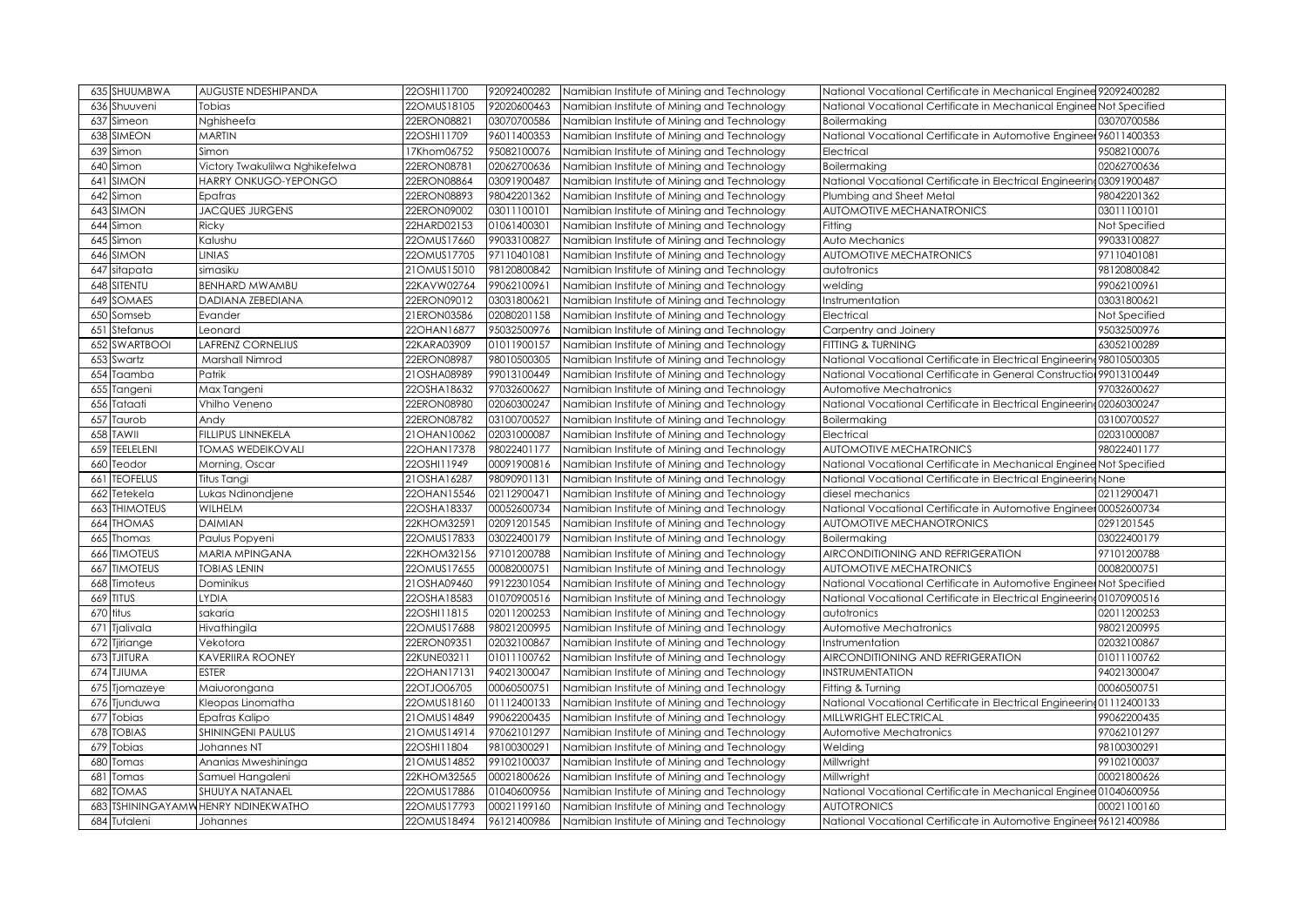| 635 SHUUMBWA            | <b>AUGUSTE NDESHIPANDA</b>                        | 22OSHI11700                | 92092400282                | Namibian Institute of Mining and Technology<br>National Vocational Certificate in Mechanical Enginee 92092400282                                                                       |               |
|-------------------------|---------------------------------------------------|----------------------------|----------------------------|----------------------------------------------------------------------------------------------------------------------------------------------------------------------------------------|---------------|
| 636 Shuuveni            | Tobias                                            | 22OMUS18105                | 92020600463                | Namibian Institute of Mining and Technology<br>National Vocational Certificate in Mechanical Enginee Not Specified                                                                     |               |
| 637 Simeon              | Nghisheefa                                        | 22ERON08821                | 03070700586                | Namibian Institute of Mining and Technology<br>Boilermaking                                                                                                                            | 03070700586   |
| 638 SIMEON              | <b>MARTIN</b>                                     | 22OSHI11709                | 96011400353                | National Vocational Certificate in Automotive Engineer 96011400353<br>Namibian Institute of Mining and Technology                                                                      |               |
| 639<br>Simon            | Simon                                             | 17Khom06752                | 95082100076                | Namibian Institute of Mining and Technology<br>Electrical                                                                                                                              | 95082100076   |
| 640<br>Simon            | Victory Twakulilwa Nghikefelwa                    | 22ERON08781                | 02062700636                | Namibian Institute of Mining and Technology<br>Boilermaking                                                                                                                            | 02062700636   |
| SIMON<br>641            | HARRY ONKUGO-YEPONGO                              | 22ERON08864                | 03091900487                | National Vocational Certificate in Electrical Engineering 03091900487<br>Namibian Institute of Mining and Technology                                                                   |               |
| 642<br>Simon            | Epafras                                           | 22ERON08893                | 98042201362                | Namibian Institute of Mining and Technology<br>Plumbing and Sheet Metal                                                                                                                | 98042201362   |
| SIMON<br>643            | <b>JACQUES JURGENS</b>                            | 22ERON09002                | 03011100101                | Namibian Institute of Mining and Technology<br>AUTOMOTIVE MECHANATRONICS                                                                                                               | 03011100101   |
| 644<br>Simon            | Ricky                                             | 22HARD02153                | 01061400301                | Namibian Institute of Mining and Technology<br>Fitting                                                                                                                                 | Not Specified |
| Simon<br>645            | Kalushu                                           | 22OMUS17660                | 99033100827                | Namibian Institute of Mining and Technology<br>Auto Mechanics                                                                                                                          | 99033100827   |
| 646<br>SIMON            | <b>LINIAS</b>                                     | 22OMUS17705                | 97110401081                | <b>AUTOMOTIVE MECHATRONICS</b><br>Namibian Institute of Mining and Technology                                                                                                          | 97110401081   |
| sitapata<br>647         | simasiku                                          | 21OMUS15010                | 98120800842                | Namibian Institute of Mining and Technology<br>autotronics                                                                                                                             | 98120800842   |
| SITENTU<br>648          | <b>BENHARD MWAMBU</b>                             | 22KAVW02764                | 99062100961                | Namibian Institute of Mining and Technology<br>welding                                                                                                                                 | 99062100961   |
| SOMAES<br>649           | <b>DADIANA ZEBEDIANA</b>                          | 22ERON09012                | 03031800621                | Namibian Institute of Mining and Technology<br>Instrumentation                                                                                                                         | 03031800621   |
| 650<br>Somseb           | Evander                                           | 21ERON03586                | 02080201158                | Namibian Institute of Mining and Technology<br>Electrical                                                                                                                              | Not Specified |
| Stefanus<br>651         | Leonard                                           | 22OHAN16877                | 95032500976                | Namibian Institute of Mining and Technology<br>Carpentry and Joinery                                                                                                                   | 95032500976   |
| <b>SWARTBOOI</b><br>652 | <b>LAFRENZ CORNELIUS</b>                          | 22KARA03909                | 01011900157                | Namibian Institute of Mining and Technology<br>FITTING & TURNING                                                                                                                       | 63052100289   |
| Swartz<br>653           | Marshall Nimrod                                   | 22ERON08987                | 98010500305                | Namibian Institute of Mining and Technology<br>National Vocational Certificate in Electrical Engineering 98010500305                                                                   |               |
| 654 Taamba              | Patrik                                            | 21OSHA08989                | 99013100449                | Namibian Institute of Mining and Technology<br>National Vocational Certificate in General Construction 99013100449                                                                     |               |
| Tangeni<br>655          | Max Tangeni                                       | 22OSHA18632                | 97032600627                | Namibian Institute of Mining and Technology<br>Automotive Mechatronics                                                                                                                 | 97032600627   |
| 656<br>Tataati          | Vhilho Veneno                                     | 22ERON08980                | 02060300247                | National Vocational Certificate in Electrical Engineering 02060300247<br>Namibian Institute of Mining and Technology                                                                   |               |
| Taurob<br>657           | Andy                                              | 22ERON08782                | 03100700527                | Namibian Institute of Mining and Technology<br>Boilermaking                                                                                                                            | 03100700527   |
| <b>TAWII</b><br>658     | FILLIPUS LINNEKELA                                | 21 OHAN 10062              | 02031000087                | Namibian Institute of Mining and Technology<br>Electrical                                                                                                                              | 02031000087   |
| <b>TEELELENI</b><br>659 | <b>TOMAS WEDEIKOVALI</b>                          | 22OHAN17378                | 98022401177                | <b>AUTOMOTIVE MECHATRONICS</b><br>Namibian Institute of Mining and Technology                                                                                                          | 98022401177   |
| 660<br>Teodor           | Morning, Oscar                                    | 22OSHI11949                | 00091900816                | National Vocational Certificate in Mechanical Enginee Not Specified<br>Namibian Institute of Mining and Technology                                                                     |               |
| <b>TEOFELUS</b><br>661  | Titus Tangi                                       | 21OSHA16287                | 98090901131                | Namibian Institute of Mining and Technology<br>National Vocational Certificate in Electrical Engineering None                                                                          |               |
| 662<br>Tetekela         | Lukas Ndinondjene                                 | 22OHAN15546                | 02112900471                | Namibian Institute of Mining and Technology<br>diesel mechanics                                                                                                                        | 02112900471   |
| <b>THIMOTEUS</b><br>663 | <b>WILHELM</b>                                    | 22OSHA18337                | 00052600734                | National Vocational Certificate in Automotive Enginee 00052600734<br>Namibian Institute of Mining and Technology                                                                       |               |
| 664 THOMAS              | <b>DAIMIAN</b>                                    | 22KHOM32591                | 02091201545                | Namibian Institute of Mining and Technology<br><b>AUTOMOTIVE MECHANOTRONICS</b>                                                                                                        | 0291201545    |
| Thomas<br>665           | Paulus Popyeni                                    | 22OMUS17833                | 03022400179                | Namibian Institute of Mining and Technology<br>Boilermaking                                                                                                                            | 03022400179   |
| <b>666 TIMOTEUS</b>     | <b>MARIA MPINGANA</b>                             | 22KHOM32156                | 97101200788                | Namibian Institute of Mining and Technology<br>AIRCONDITIONING AND REFRIGERATION                                                                                                       | 97101200788   |
| <b>TIMOTEUS</b><br>667  | <b>TOBIAS LENIN</b>                               | 22OMUS17655                | 00082000751                | Namibian Institute of Mining and Technology<br><b>AUTOMOTIVE MECHATRONICS</b>                                                                                                          | 00082000751   |
| Timoteus<br>668         | Dominikus                                         | 21OSHA09460                | 99122301054                | Namibian Institute of Mining and Technology<br>National Vocational Certificate in Automotive Engineer Not Specified                                                                    |               |
| 669 TITUS               | <b>LYDIA</b>                                      | 22OSHA18583                | 01070900516                | Namibian Institute of Mining and Technology<br>National Vocational Certificate in Electrical Engineering 01070900516                                                                   |               |
| 670 titus               | sakaria                                           | 22OSHI11815                | 02011200253                | Namibian Institute of Mining and Technology<br>autotronics                                                                                                                             | 02011200253   |
| Tjalivala<br>671        | Hivathingila                                      | 22OMUS17688                | 98021200995                | Namibian Institute of Mining and Technology<br>Automotive Mechatronics                                                                                                                 | 98021200995   |
| 672 Tjiriange           | Vekotora                                          | 22ERON09351                | 02032100867                | Namibian Institute of Mining and Technology<br>Instrumentation                                                                                                                         | 02032100867   |
| <b>TJITURA</b><br>673   | <b>KAVERIIRA ROONEY</b>                           | 22KUNE03211                | 01011100762                | Namibian Institute of Mining and Technology<br>AIRCONDITIONING AND REFRIGERATION                                                                                                       | 01011100762   |
| 674 TJIUMA              | <b>ESTER</b>                                      | 22OHAN17131                | 94021300047                | Namibian Institute of Mining and Technology<br>INSTRUMENTATION                                                                                                                         | 94021300047   |
| 675<br>Tjomazeye        | Maiuorongana                                      | 22OTJO06705                | 00060500751                | Namibian Institute of Mining and Technology<br>Fitting & Turning                                                                                                                       | 00060500751   |
| 676 Tjunduwa            | Kleopas Linomatha                                 | 22OMUS18160                | 01112400133                | Namibian Institute of Mining and Technology<br>National Vocational Certificate in Electrical Engineering 01112400133                                                                   |               |
| 677 Tobias              | Epafras Kalipo                                    | 21OMUS14849                | 99062200435                | Namibian Institute of Mining and Technology<br>MILLWRIGHT ELECTRICAL                                                                                                                   | 99062200435   |
| 678 TOBIAS              | <b>SHININGENI PAULUS</b>                          | 21OMUS14914                | 97062101297                | Namibian Institute of Mining and Technology<br>Automotive Mechatronics                                                                                                                 | 97062101297   |
| 679 Tobias              | Johannes NT                                       | 22OSHI11804                | 98100300291                | Namibian Institute of Mining and Technology<br>Welding                                                                                                                                 | 98100300291   |
| 680<br>Tomas            | Ananias Mweshininga                               | 21OMUS14852                | 99102100037                | Namibian Institute of Mining and Technology<br>Millwright                                                                                                                              | 99102100037   |
| 681<br>Tomas            | Samuel Hangaleni                                  | 22KHOM32565                | 00021800626                | Millwright<br>Namibian Institute of Mining and Technology                                                                                                                              | 00021800626   |
|                         |                                                   |                            |                            | National Vocational Certificate in Mechanical Enginee 01040600956<br>Namibian Institute of Mining and Technology                                                                       |               |
| 682<br><b>TOMAS</b>     | SHUUYA NATANAEL                                   | 22OMUS17886                | 01040600956                |                                                                                                                                                                                        |               |
| 683<br>684 Tutaleni     | <b>TSHININGAYAMWHENRY NDINEKWATHO</b><br>Johannes | 22OMUS17793<br>22OMUS18494 | 00021199160<br>96121400986 | <b>AUTOTRONICS</b><br>Namibian Institute of Mining and Technology<br>National Vocational Certificate in Automotive Engineer 96121400986<br>Namibian Institute of Mining and Technology | 00021100160   |